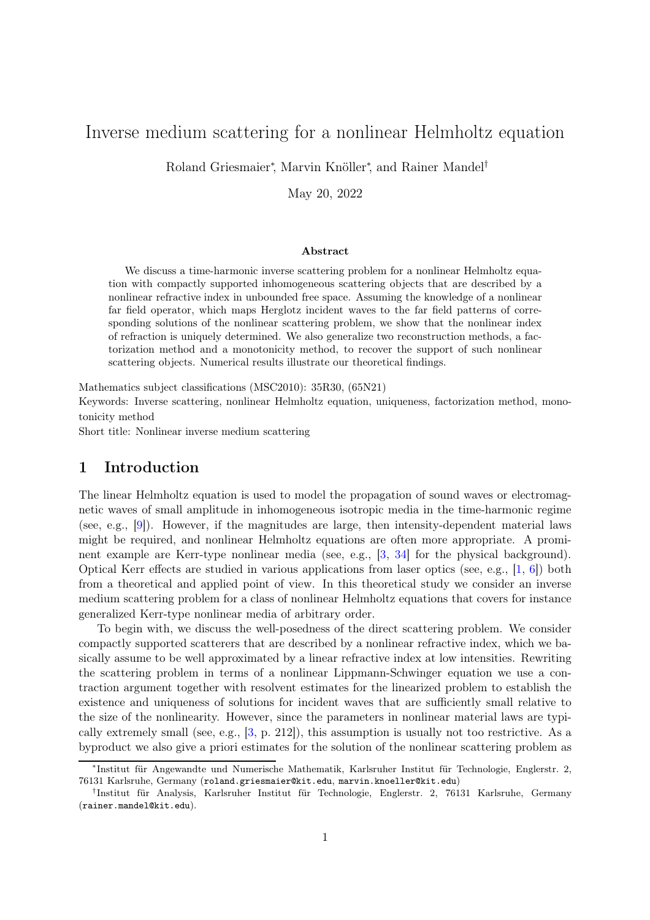# Inverse medium scattering for a nonlinear Helmholtz equation

Roland Griesmaier<sup>∗</sup> , Marvin Knöller<sup>∗</sup> , and Rainer Mandel†

May 20, 2022

#### Abstract

We discuss a time-harmonic inverse scattering problem for a nonlinear Helmholtz equation with compactly supported inhomogeneous scattering objects that are described by a nonlinear refractive index in unbounded free space. Assuming the knowledge of a nonlinear far field operator, which maps Herglotz incident waves to the far field patterns of corresponding solutions of the nonlinear scattering problem, we show that the nonlinear index of refraction is uniquely determined. We also generalize two reconstruction methods, a factorization method and a monotonicity method, to recover the support of such nonlinear scattering objects. Numerical results illustrate our theoretical findings.

Mathematics subject classifications (MSC2010): 35R30, (65N21) Keywords: Inverse scattering, nonlinear Helmholtz equation, uniqueness, factorization method, monotonicity method

Short title: Nonlinear inverse medium scattering

### 1 Introduction

The linear Helmholtz equation is used to model the propagation of sound waves or electromagnetic waves of small amplitude in inhomogeneous isotropic media in the time-harmonic regime (see, e.g., [\[9\]](#page-24-0)). However, if the magnitudes are large, then intensity-dependent material laws might be required, and nonlinear Helmholtz equations are often more appropriate. A prominent example are Kerr-type nonlinear media (see, e.g., [\[3,](#page-24-1) [34\]](#page-25-0) for the physical background). Optical Kerr effects are studied in various applications from laser optics (see, e.g.,  $[1, 6]$  $[1, 6]$ ) both from a theoretical and applied point of view. In this theoretical study we consider an inverse medium scattering problem for a class of nonlinear Helmholtz equations that covers for instance generalized Kerr-type nonlinear media of arbitrary order.

To begin with, we discuss the well-posedness of the direct scattering problem. We consider compactly supported scatterers that are described by a nonlinear refractive index, which we basically assume to be well approximated by a linear refractive index at low intensities. Rewriting the scattering problem in terms of a nonlinear Lippmann-Schwinger equation we use a contraction argument together with resolvent estimates for the linearized problem to establish the existence and uniqueness of solutions for incident waves that are sufficiently small relative to the size of the nonlinearity. However, since the parameters in nonlinear material laws are typically extremely small (see, e.g.,  $[3, p. 212]$ ), this assumption is usually not too restrictive. As a byproduct we also give a priori estimates for the solution of the nonlinear scattering problem as

<sup>∗</sup> Institut für Angewandte und Numerische Mathematik, Karlsruher Institut für Technologie, Englerstr. 2, 76131 Karlsruhe, Germany (roland.griesmaier@kit.edu, marvin.knoeller@kit.edu)

<sup>†</sup> Institut für Analysis, Karlsruher Institut für Technologie, Englerstr. 2, 76131 Karlsruhe, Germany (rainer.mandel@kit.edu).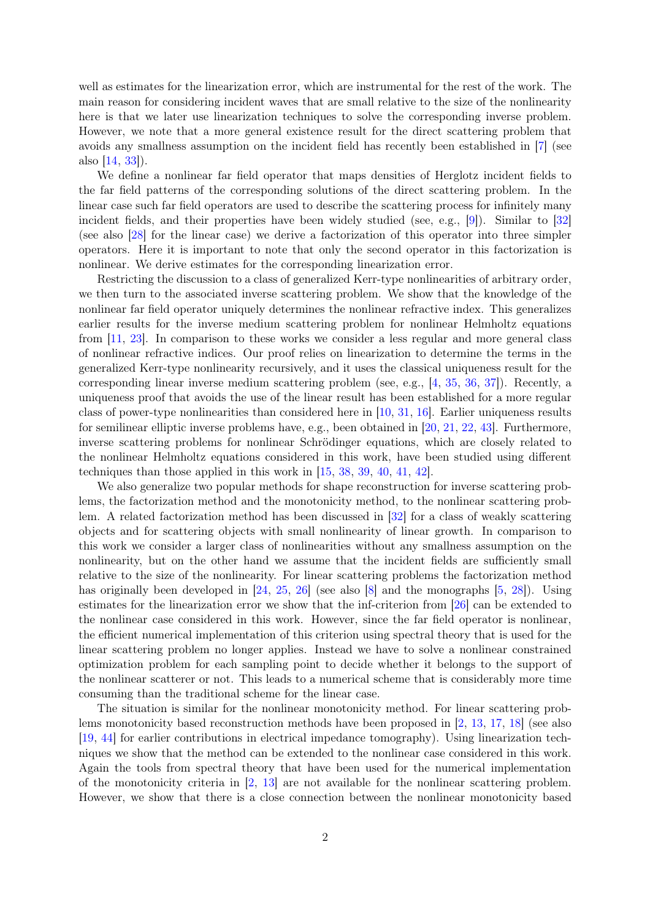well as estimates for the linearization error, which are instrumental for the rest of the work. The main reason for considering incident waves that are small relative to the size of the nonlinearity here is that we later use linearization techniques to solve the corresponding inverse problem. However, we note that a more general existence result for the direct scattering problem that avoids any smallness assumption on the incident field has recently been established in [\[7\]](#page-24-4) (see also [\[14,](#page-24-5) [33\]](#page-25-1)).

We define a nonlinear far field operator that maps densities of Herglotz incident fields to the far field patterns of the corresponding solutions of the direct scattering problem. In the linear case such far field operators are used to describe the scattering process for infinitely many incident fields, and their properties have been widely studied (see, e.g., [\[9\]](#page-24-0)). Similar to [\[32\]](#page-25-2) (see also [\[28\]](#page-25-3) for the linear case) we derive a factorization of this operator into three simpler operators. Here it is important to note that only the second operator in this factorization is nonlinear. We derive estimates for the corresponding linearization error.

Restricting the discussion to a class of generalized Kerr-type nonlinearities of arbitrary order, we then turn to the associated inverse scattering problem. We show that the knowledge of the nonlinear far field operator uniquely determines the nonlinear refractive index. This generalizes earlier results for the inverse medium scattering problem for nonlinear Helmholtz equations from [\[11,](#page-24-6) [23\]](#page-25-4). In comparison to these works we consider a less regular and more general class of nonlinear refractive indices. Our proof relies on linearization to determine the terms in the generalized Kerr-type nonlinearity recursively, and it uses the classical uniqueness result for the corresponding linear inverse medium scattering problem (see, e.g., [\[4,](#page-24-7) [35,](#page-25-5) [36,](#page-25-6) [37\]](#page-25-7)). Recently, a uniqueness proof that avoids the use of the linear result has been established for a more regular class of power-type nonlinearities than considered here in [\[10,](#page-24-8) [31,](#page-25-8) [16\]](#page-24-9). Earlier uniqueness results for semilinear elliptic inverse problems have, e.g., been obtained in [\[20,](#page-24-10) [21,](#page-24-11) [22,](#page-25-9) [43\]](#page-25-10). Furthermore, inverse scattering problems for nonlinear Schrödinger equations, which are closely related to the nonlinear Helmholtz equations considered in this work, have been studied using different techniques than those applied in this work in [\[15,](#page-24-12) [38,](#page-25-11) [39,](#page-25-12) [40,](#page-25-13) [41,](#page-25-14) [42\]](#page-25-15).

We also generalize two popular methods for shape reconstruction for inverse scattering problems, the factorization method and the monotonicity method, to the nonlinear scattering problem. A related factorization method has been discussed in [\[32\]](#page-25-2) for a class of weakly scattering objects and for scattering objects with small nonlinearity of linear growth. In comparison to this work we consider a larger class of nonlinearities without any smallness assumption on the nonlinearity, but on the other hand we assume that the incident fields are sufficiently small relative to the size of the nonlinearity. For linear scattering problems the factorization method has originally been developed in [\[24,](#page-25-16) [25,](#page-25-17) [26\]](#page-25-18) (see also [\[8\]](#page-24-13) and the monographs [\[5,](#page-24-14) [28\]](#page-25-3)). Using estimates for the linearization error we show that the inf-criterion from [\[26\]](#page-25-18) can be extended to the nonlinear case considered in this work. However, since the far field operator is nonlinear, the efficient numerical implementation of this criterion using spectral theory that is used for the linear scattering problem no longer applies. Instead we have to solve a nonlinear constrained optimization problem for each sampling point to decide whether it belongs to the support of the nonlinear scatterer or not. This leads to a numerical scheme that is considerably more time consuming than the traditional scheme for the linear case.

The situation is similar for the nonlinear monotonicity method. For linear scattering problems monotonicity based reconstruction methods have been proposed in [\[2,](#page-24-15) [13,](#page-24-16) [17,](#page-24-17) [18\]](#page-24-18) (see also [\[19,](#page-24-19) [44\]](#page-26-0) for earlier contributions in electrical impedance tomography). Using linearization techniques we show that the method can be extended to the nonlinear case considered in this work. Again the tools from spectral theory that have been used for the numerical implementation of the monotonicity criteria in [\[2,](#page-24-15) [13\]](#page-24-16) are not available for the nonlinear scattering problem. However, we show that there is a close connection between the nonlinear monotonicity based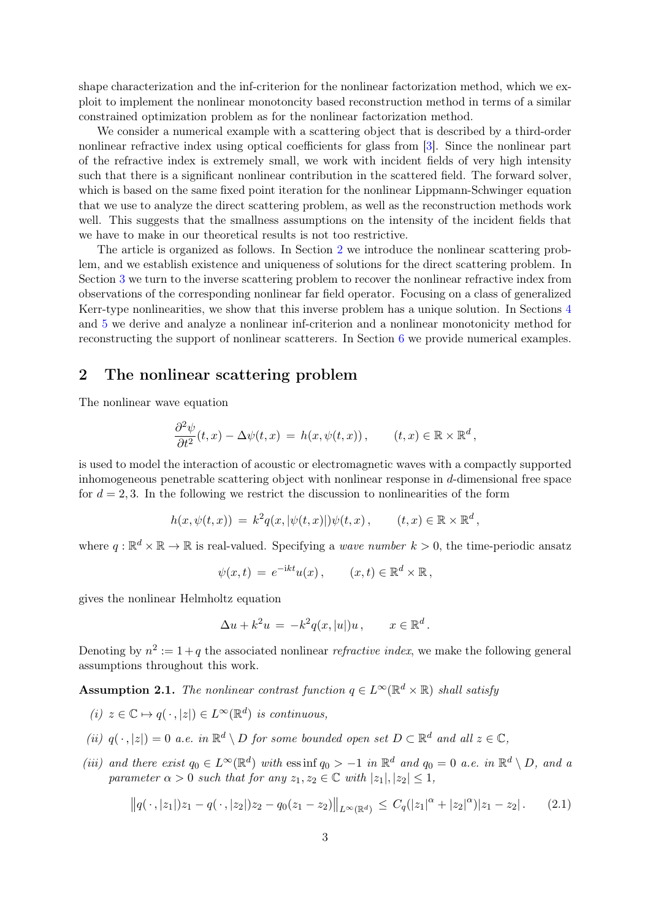shape characterization and the inf-criterion for the nonlinear factorization method, which we exploit to implement the nonlinear monotoncity based reconstruction method in terms of a similar constrained optimization problem as for the nonlinear factorization method.

We consider a numerical example with a scattering object that is described by a third-order nonlinear refractive index using optical coefficients for glass from [\[3\]](#page-24-1). Since the nonlinear part of the refractive index is extremely small, we work with incident fields of very high intensity such that there is a significant nonlinear contribution in the scattered field. The forward solver, which is based on the same fixed point iteration for the nonlinear Lippmann-Schwinger equation that we use to analyze the direct scattering problem, as well as the reconstruction methods work well. This suggests that the smallness assumptions on the intensity of the incident fields that we have to make in our theoretical results is not too restrictive.

The article is organized as follows. In Section [2](#page-2-0) we introduce the nonlinear scattering problem, and we establish existence and uniqueness of solutions for the direct scattering problem. In Section [3](#page-8-0) we turn to the inverse scattering problem to recover the nonlinear refractive index from observations of the corresponding nonlinear far field operator. Focusing on a class of generalized Kerr-type nonlinearities, we show that this inverse problem has a unique solution. In Sections [4](#page-12-0) and [5](#page-16-0) we derive and analyze a nonlinear inf-criterion and a nonlinear monotonicity method for reconstructing the support of nonlinear scatterers. In Section [6](#page-19-0) we provide numerical examples.

#### <span id="page-2-0"></span>2 The nonlinear scattering problem

The nonlinear wave equation

$$
\frac{\partial^2 \psi}{\partial t^2}(t,x) - \Delta \psi(t,x) = h(x, \psi(t,x)), \qquad (t,x) \in \mathbb{R} \times \mathbb{R}^d,
$$

is used to model the interaction of acoustic or electromagnetic waves with a compactly supported inhomogeneous penetrable scattering object with nonlinear response in d-dimensional free space for  $d = 2, 3$ . In the following we restrict the discussion to nonlinearities of the form

$$
h(x, \psi(t, x)) = k^2 q(x, |\psi(t, x)|) \psi(t, x), \qquad (t, x) \in \mathbb{R} \times \mathbb{R}^d,
$$

where  $q : \mathbb{R}^d \times \mathbb{R} \to \mathbb{R}$  is real-valued. Specifying a *wave number*  $k > 0$ , the time-periodic ansatz

$$
\psi(x,t) = e^{-ikt}u(x), \qquad (x,t) \in \mathbb{R}^d \times \mathbb{R},
$$

gives the nonlinear Helmholtz equation

$$
\Delta u + k^2 u = -k^2 q(x, |u|)u, \qquad x \in \mathbb{R}^d.
$$

Denoting by  $n^2 := 1 + q$  the associated nonlinear *refractive index*, we make the following general assumptions throughout this work.

<span id="page-2-2"></span>**Assumption 2.1.** The nonlinear contrast function  $q \in L^{\infty}(\mathbb{R}^d \times \mathbb{R})$  shall satisfy

- (i)  $z \in \mathbb{C} \mapsto q(\cdot, |z|) \in L^{\infty}(\mathbb{R}^d)$  is continuous,
- (ii)  $q(\cdot, |z|) = 0$  a.e. in  $\mathbb{R}^d \setminus D$  for some bounded open set  $D \subset \mathbb{R}^d$  and all  $z \in \mathbb{C}$ ,
- (iii) and there exist  $q_0 \in L^{\infty}(\mathbb{R}^d)$  with essint  $q_0 > -1$  in  $\mathbb{R}^d$  and  $q_0 = 0$  a.e. in  $\mathbb{R}^d \setminus D$ , and a parameter  $\alpha > 0$  such that for any  $z_1, z_2 \in \mathbb{C}$  with  $|z_1|, |z_2| \leq 1$ ,

<span id="page-2-1"></span>
$$
||q(\cdot, |z_1|)z_1 - q(\cdot, |z_2|)z_2 - q_0(z_1 - z_2)||_{L^{\infty}(\mathbb{R}^d)} \leq C_q(|z_1|^{\alpha} + |z_2|^{\alpha})|z_1 - z_2|.
$$
 (2.1)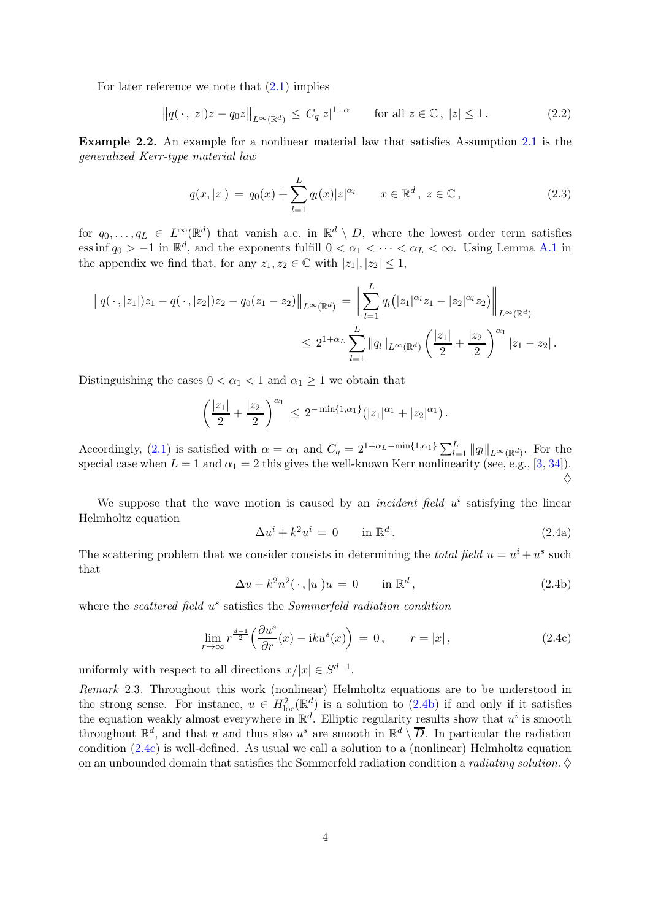For later reference we note that  $(2.1)$  implies

<span id="page-3-3"></span>
$$
\left\|q(\,\cdot\,,|z|)z - q_0 z\right\|_{L^\infty(\mathbb{R}^d)} \le C_q |z|^{1+\alpha} \qquad \text{for all } z \in \mathbb{C}, \ |z| \le 1. \tag{2.2}
$$

Example 2.2. An example for a nonlinear material law that satisfies Assumption [2.1](#page-2-2) is the generalized Kerr-type material law

<span id="page-3-4"></span>
$$
q(x,|z|) = q_0(x) + \sum_{l=1}^{L} q_l(x)|z|^{\alpha_l} \qquad x \in \mathbb{R}^d, \ z \in \mathbb{C}, \tag{2.3}
$$

for  $q_0, \ldots, q_L \in L^{\infty}(\mathbb{R}^d)$  that vanish a.e. in  $\mathbb{R}^d \setminus D$ , where the lowest order term satisfies ess inf  $q_0 > -1$  in  $\mathbb{R}^d$ , and the exponents fulfill  $0 < \alpha_1 < \cdots < \alpha_L < \infty$ . Using Lemma [A.1](#page-23-0) in the appendix we find that, for any  $z_1, z_2 \in \mathbb{C}$  with  $|z_1|, |z_2| \leq 1$ ,

$$
||q(\cdot, |z_1|)z_1 - q(\cdot, |z_2|)z_2 - q_0(z_1 - z_2)||_{L^{\infty}(\mathbb{R}^d)} = \left\| \sum_{l=1}^L q_l(|z_1|^{\alpha_l}z_1 - |z_2|^{\alpha_l}z_2) \right\|_{L^{\infty}(\mathbb{R}^d)}
$$
  

$$
\leq 2^{1+\alpha_L} \sum_{l=1}^L ||q_l||_{L^{\infty}(\mathbb{R}^d)} \left(\frac{|z_1|}{2} + \frac{|z_2|}{2}\right)^{\alpha_1} |z_1 - z_2|.
$$

Distinguishing the cases  $0 < \alpha_1 < 1$  and  $\alpha_1 \geq 1$  we obtain that

$$
\left(\frac{|z_1|}{2} + \frac{|z_2|}{2}\right)^{\alpha_1} \leq 2^{-\min\{1,\alpha_1\}}(|z_1|^{\alpha_1} + |z_2|^{\alpha_1}).
$$

Accordingly, [\(2.1\)](#page-2-1) is satisfied with  $\alpha = \alpha_1$  and  $C_q = 2^{1+\alpha_L-\min\{1,\alpha_1\}} \sum_{l=1}^L ||q_l||_{L^{\infty}(\mathbb{R}^d)}$ . For the special case when  $L = 1$  and  $\alpha_1 = 2$  this gives the well-known Kerr nonlinearity (see, e.g., [\[3,](#page-24-1) [34\]](#page-25-0)).  $\Diamond$ 

We suppose that the wave motion is caused by an *incident field*  $u^i$  satisfying the linear Helmholtz equation

<span id="page-3-2"></span>
$$
\Delta u^i + k^2 u^i = 0 \qquad \text{in } \mathbb{R}^d. \tag{2.4a}
$$

The scattering problem that we consider consists in determining the *total field*  $u = u^i + u^s$  such that

<span id="page-3-0"></span>
$$
\Delta u + k^2 n^2 (\cdot, |u|) u = 0 \quad \text{in } \mathbb{R}^d,
$$
\n(2.4b)

where the scattered field  $u^s$  satisfies the Sommerfeld radiation condition

<span id="page-3-1"></span>
$$
\lim_{r \to \infty} r^{\frac{d-1}{2}} \left( \frac{\partial u^s}{\partial r}(x) - iku^s(x) \right) = 0, \qquad r = |x|,
$$
\n(2.4c)

uniformly with respect to all directions  $x/|x| \in S^{d-1}$ .

Remark 2.3. Throughout this work (nonlinear) Helmholtz equations are to be understood in the strong sense. For instance,  $u \in H^2_{loc}(\mathbb{R}^d)$  is a solution to [\(2.4b\)](#page-3-0) if and only if it satisfies the equation weakly almost everywhere in  $\mathbb{R}^d$ . Elliptic regularity results show that  $u^i$  is smooth throughout  $\mathbb{R}^d$ , and that u and thus also u<sup>s</sup> are smooth in  $\mathbb{R}^d \setminus \overline{D}$ . In particular the radiation condition  $(2.4c)$  is well-defined. As usual we call a solution to a (nonlinear) Helmholtz equation on an unbounded domain that satisfies the Sommerfeld radiation condition a *radiating solution*.  $\diamond$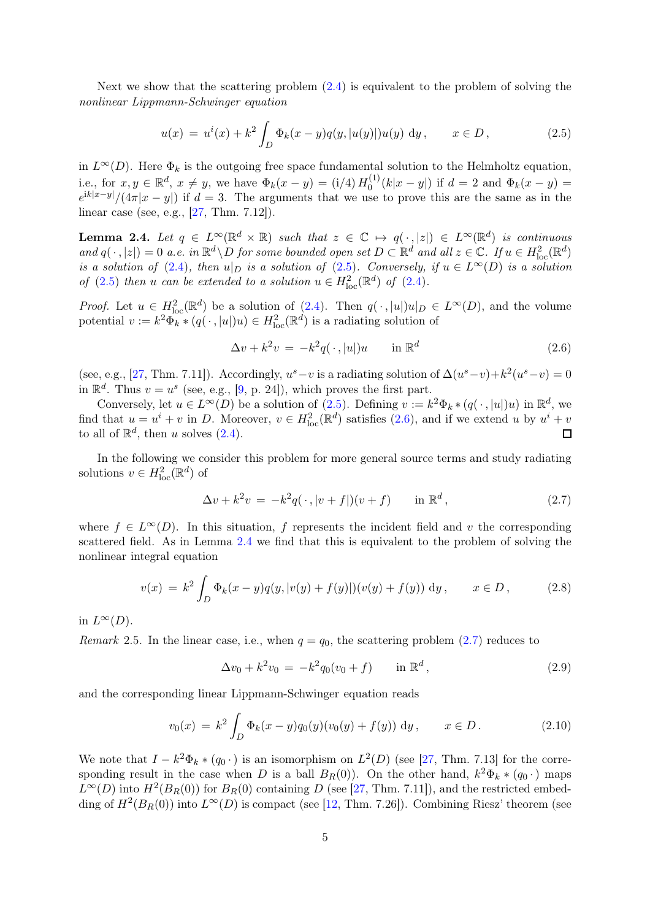Next we show that the scattering problem [\(2.4\)](#page-3-2) is equivalent to the problem of solving the nonlinear Lippmann-Schwinger equation

<span id="page-4-0"></span>
$$
u(x) = u^{i}(x) + k^{2} \int_{D} \Phi_{k}(x - y) q(y, |u(y)|) u(y) dy, \qquad x \in D,
$$
\n(2.5)

in  $L^{\infty}(D)$ . Here  $\Phi_k$  is the outgoing free space fundamental solution to the Helmholtz equation, i.e., for  $x, y \in \mathbb{R}^d$ ,  $x \neq y$ , we have  $\Phi_k(x - y) = (i/4) H_0^{(1)}$  $\Phi_0^{(1)}(k|x-y|)$  if  $d=2$  and  $\Phi_k(x-y)$  =  $e^{ik|x-y|}/(4\pi|x-y|)$  if  $d=3$ . The arguments that we use to prove this are the same as in the linear case (see, e.g., [\[27,](#page-25-19) Thm. 7.12]).

<span id="page-4-2"></span>**Lemma 2.4.** Let  $q \in L^{\infty}(\mathbb{R}^d \times \mathbb{R})$  such that  $z \in \mathbb{C} \mapsto q(\cdot, |z|) \in L^{\infty}(\mathbb{R}^d)$  is continuous and  $q(\cdot, |z|) = 0$  a.e. in  $\mathbb{R}^d \setminus D$  for some bounded open set  $D \subset \mathbb{R}^d$  and all  $z \in \mathbb{C}$ . If  $u \in H^2_{loc}(\mathbb{R}^d)$ is a solution of [\(2.4\)](#page-3-2), then  $u|_D$  is a solution of [\(2.5\)](#page-4-0). Conversely, if  $u \in L^{\infty}(D)$  is a solution of [\(2.5\)](#page-4-0) then u can be extended to a solution  $u \in H^2_{loc}(\mathbb{R}^d)$  of [\(2.4\)](#page-3-2).

*Proof.* Let  $u \in H^2_{loc}(\mathbb{R}^d)$  be a solution of [\(2.4\)](#page-3-2). Then  $q(\cdot, |u|)u|_D \in L^{\infty}(D)$ , and the volume potential  $v := k^2 \widetilde{\Phi}_{k} * (q(\cdot, |u|)u) \in H^2_{loc}(\mathbb{R}^d)$  is a radiating solution of

<span id="page-4-1"></span>
$$
\Delta v + k^2 v = -k^2 q(\cdot, |u|) u \qquad \text{in } \mathbb{R}^d \tag{2.6}
$$

(see, e.g., [\[27,](#page-25-19) Thm. 7.11]). Accordingly,  $u^s - v$  is a radiating solution of  $\Delta(u^s - v) + k^2(u^s - v) = 0$ in  $\mathbb{R}^d$ . Thus  $v = u^s$  (see, e.g., [\[9,](#page-24-0) p. 24]), which proves the first part.

Conversely, let  $u \in L^{\infty}(D)$  be a solution of  $(2.5)$ . Defining  $v := k^2 \Phi_k * (q(\cdot, |u|)u)$  in  $\mathbb{R}^d$ , we find that  $u = u^i + v$  in D. Moreover,  $v \in H^2_{loc}(\mathbb{R}^d)$  satisfies [\(2.6\)](#page-4-1), and if we extend u by  $u^i + v$ to all of  $\mathbb{R}^d$ , then u solves  $(2.4)$ .  $\Box$ 

In the following we consider this problem for more general source terms and study radiating solutions  $v \in H^2_{\text{loc}}(\mathbb{R}^d)$  of

<span id="page-4-3"></span>
$$
\Delta v + k^2 v = -k^2 q(\cdot, |v+f|)(v+f) \quad \text{in } \mathbb{R}^d,
$$
\n(2.7)

where  $f \in L^{\infty}(D)$ . In this situation, f represents the incident field and v the corresponding scattered field. As in Lemma [2.4](#page-4-2) we find that this is equivalent to the problem of solving the nonlinear integral equation

<span id="page-4-6"></span>
$$
v(x) = k^2 \int_D \Phi_k(x - y) q(y, |v(y) + f(y)|) (v(y) + f(y)) \, dy, \qquad x \in D, \tag{2.8}
$$

in  $L^{\infty}(D)$ .

Remark 2.5. In the linear case, i.e., when  $q = q_0$ , the scattering problem [\(2.7\)](#page-4-3) reduces to

<span id="page-4-4"></span>
$$
\Delta v_0 + k^2 v_0 = -k^2 q_0 (v_0 + f) \quad \text{in } \mathbb{R}^d,
$$
\n(2.9)

and the corresponding linear Lippmann-Schwinger equation reads

<span id="page-4-5"></span>
$$
v_0(x) = k^2 \int_D \Phi_k(x - y) q_0(y) (v_0(y) + f(y)) \, dy, \qquad x \in D. \tag{2.10}
$$

We note that  $I - k^2 \Phi_k * (q_0 \cdot)$  is an isomorphism on  $L^2(D)$  (see [\[27,](#page-25-19) Thm. 7.13] for the corresponding result in the case when D is a ball  $B_R(0)$ ). On the other hand,  $k^2\Phi_k * (q_0 \cdot)$  maps  $L^{\infty}(D)$  into  $H^2(B_R(0))$  for  $B_R(0)$  containing D (see [\[27,](#page-25-19) Thm. 7.11]), and the restricted embedding of  $H^2(B_R(0))$  into  $L^{\infty}(D)$  is compact (see [\[12,](#page-24-20) Thm. 7.26]). Combining Riesz' theorem (see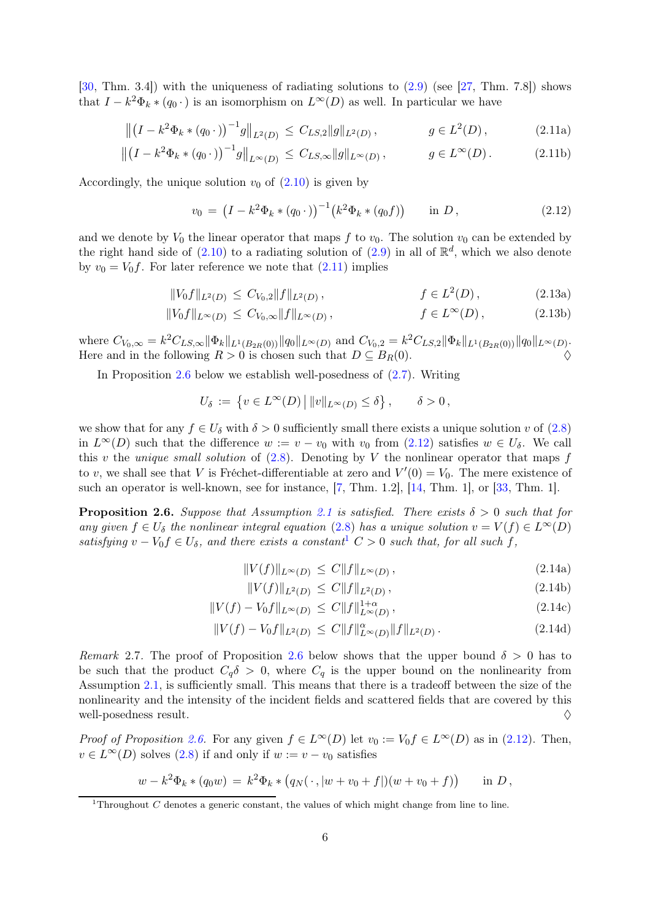[\[30,](#page-25-20) Thm. 3.4]) with the uniqueness of radiating solutions to [\(2.9\)](#page-4-4) (see [\[27,](#page-25-19) Thm. 7.8]) shows that  $I - k^2 \Phi_k * (q_0 \cdot)$  is an isomorphism on  $L^{\infty}(D)$  as well. In particular we have

$$
\left\| \left(I - k^2 \Phi_k * (q_0 \cdot) \right)^{-1} g \right\|_{L^2(D)} \le C_{LS,2} \|g\|_{L^2(D)}, \qquad g \in L^2(D), \tag{2.11a}
$$

$$
\left\| \left(I - k^2 \Phi_k * (q_0 \cdot) \right)^{-1} g \right\|_{L^{\infty}(D)} \le C_{LS, \infty} \|g\|_{L^{\infty}(D)}, \qquad g \in L^{\infty}(D). \tag{2.11b}
$$

Accordingly, the unique solution  $v_0$  of  $(2.10)$  is given by

<span id="page-5-11"></span><span id="page-5-9"></span><span id="page-5-4"></span><span id="page-5-2"></span><span id="page-5-0"></span>
$$
v_0 = (I - k^2 \Phi_k * (q_0 \cdot))^{-1} (k^2 \Phi_k * (q_0 f)) \quad \text{in } D,
$$
 (2.12)

and we denote by  $V_0$  the linear operator that maps f to  $v_0$ . The solution  $v_0$  can be extended by the right hand side of  $(2.10)$  to a radiating solution of  $(2.9)$  in all of  $\mathbb{R}^d$ , which we also denote by  $v_0 = V_0 f$ . For later reference we note that  $(2.11)$  implies

$$
||V_0 f||_{L^2(D)} \le C_{V_0,2} ||f||_{L^2(D)}, \qquad f \in L^2(D), \qquad (2.13a)
$$

$$
||V_0 f||_{L^{\infty}(D)} \leq C_{V_0,\infty} ||f||_{L^{\infty}(D)}, \qquad f \in L^{\infty}(D), \qquad (2.13b)
$$

where  $C_{V_0,\infty} = k^2 C_{LS,\infty} ||\Phi_k||_{L^1(B_{2R}(0))} ||q_0||_{L^{\infty}(D)}$  and  $C_{V_0,2} = k^2 C_{LS,2} ||\Phi_k||_{L^1(B_{2R}(0))} ||q_0||_{L^{\infty}(D)}$ . Here and in the following  $R > 0$  is chosen such that  $D \subseteq B_R(0)$ .

In Proposition [2.6](#page-5-1) below we establish well-posedness of  $(2.7)$ . Writing

<span id="page-5-5"></span>
$$
U_{\delta} := \left\{ v \in L^{\infty}(D) \, \middle| \, ||v||_{L^{\infty}(D)} \leq \delta \right\}, \qquad \delta > 0,
$$

we show that for any  $f \in U_{\delta}$  with  $\delta > 0$  sufficiently small there exists a unique solution v of  $(2.8)$ in  $L^{\infty}(D)$  such that the difference  $w := v - v_0$  with  $v_0$  from  $(2.12)$  satisfies  $w \in U_{\delta}$ . We call this v the unique small solution of  $(2.8)$ . Denoting by V the nonlinear operator that maps f to v, we shall see that V is Fréchet-differentiable at zero and  $V'(0) = V_0$ . The mere existence of such an operator is well-known, see for instance, [\[7,](#page-24-4) Thm. 1.2], [\[14,](#page-24-5) Thm. 1], or [\[33,](#page-25-1) Thm. 1].

<span id="page-5-1"></span>**Proposition 2.6.** Suppose that Assumption [2.1](#page-2-2) is satisfied. There exists  $\delta > 0$  such that for any given  $f \in U_{\delta}$  the nonlinear integral equation [\(2.8\)](#page-4-6) has a unique solution  $v = V(f) \in L^{\infty}(D)$ satisfying  $v - V_0 f \in U_\delta$ , and there exists a constant<sup>[1](#page-5-3)</sup>  $C > 0$  such that, for all such f,

$$
||V(f)||_{L^{\infty}(D)} \le C||f||_{L^{\infty}(D)}, \qquad (2.14a)
$$

<span id="page-5-10"></span><span id="page-5-8"></span><span id="page-5-7"></span><span id="page-5-6"></span>
$$
||V(f)||_{L^{2}(D)} \leq C||f||_{L^{2}(D)}, \qquad (2.14b)
$$

$$
||V(f) - V_0 f||_{L^{\infty}(D)} \le C ||f||_{L^{\infty}(D)}^{1+\alpha}, \qquad (2.14c)
$$

$$
||V(f) - V_0 f||_{L^2(D)} \le C ||f||_{L^{\infty}(D)}^{\alpha} ||f||_{L^2(D)}.
$$
\n(2.14d)

<span id="page-5-12"></span>Remark 2.7. The proof of Proposition [2.6](#page-5-1) below shows that the upper bound  $\delta > 0$  has to be such that the product  $C_q\delta > 0$ , where  $C_q$  is the upper bound on the nonlinearity from Assumption [2.1,](#page-2-2) is sufficiently small. This means that there is a tradeoff between the size of the nonlinearity and the intensity of the incident fields and scattered fields that are covered by this well-posedness result.  $\Diamond$ 

*Proof of Proposition [2.6.](#page-5-1)* For any given  $f \in L^{\infty}(D)$  let  $v_0 := V_0 f \in L^{\infty}(D)$  as in [\(2.12\)](#page-5-2). Then,  $v \in L^{\infty}(D)$  solves  $(2.8)$  if and only if  $w := v - v_0$  satisfies

$$
w - k^2 \Phi_k * (q_0 w) = k^2 \Phi_k * (q_N(\cdot, |w + v_0 + f|)(w + v_0 + f)) \quad \text{in } D,
$$

<span id="page-5-3"></span><sup>&</sup>lt;sup>1</sup>Throughout C denotes a generic constant, the values of which might change from line to line.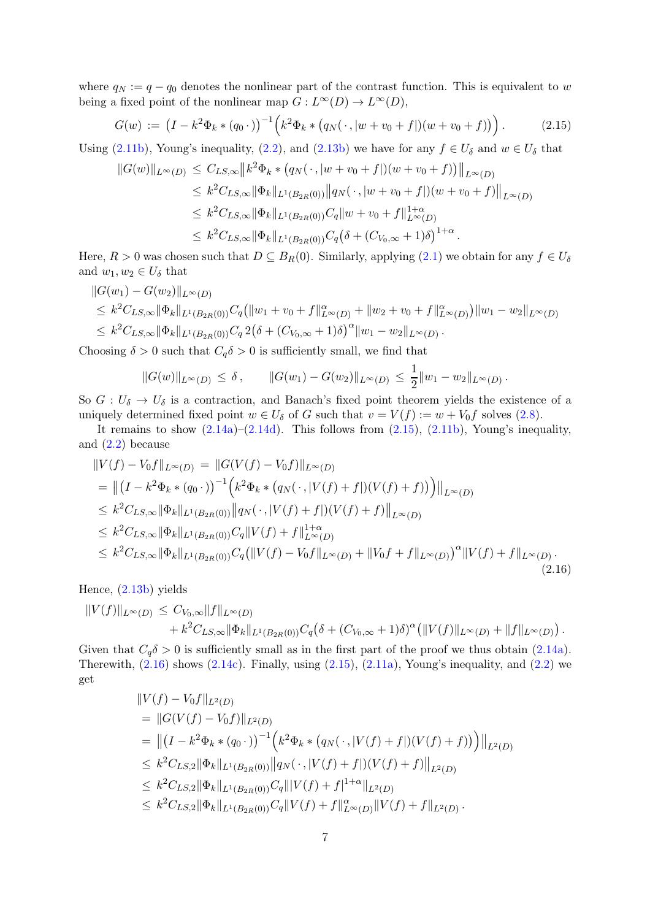where  $q_N := q - q_0$  denotes the nonlinear part of the contrast function. This is equivalent to w being a fixed point of the nonlinear map  $G: L^{\infty}(D) \to L^{\infty}(D)$ ,

<span id="page-6-0"></span>
$$
G(w) := (I - k^2 \Phi_k * (q_0 \cdot))^{-1} \Big( k^2 \Phi_k * (q_N(\cdot, |w + v_0 + f|)(w + v_0 + f)) \Big).
$$
 (2.15)

Using [\(2.11b\)](#page-5-4), Young's inequality, [\(2.2\)](#page-3-3), and [\(2.13b\)](#page-5-5) we have for any  $f \in U_{\delta}$  and  $w \in U_{\delta}$  that

$$
||G(w)||_{L^{\infty}(D)} \leq C_{LS,\infty} ||k^2 \Phi_k * (q_N(\cdot, |w + v_0 + f|)(w + v_0 + f))||_{L^{\infty}(D)}
$$
  
\n
$$
\leq k^2 C_{LS,\infty} ||\Phi_k||_{L^1(B_{2R}(0))} ||q_N(\cdot, |w + v_0 + f|)(w + v_0 + f)||_{L^{\infty}(D)}
$$
  
\n
$$
\leq k^2 C_{LS,\infty} ||\Phi_k||_{L^1(B_{2R}(0))} C_q ||w + v_0 + f||_{L^{\infty}(D)}^{1+\alpha}
$$
  
\n
$$
\leq k^2 C_{LS,\infty} ||\Phi_k||_{L^1(B_{2R}(0))} C_q (\delta + (C_{V_0,\infty} + 1)\delta)^{1+\alpha}.
$$

Here,  $R > 0$  was chosen such that  $D \subseteq B_R(0)$ . Similarly, applying  $(2.1)$  we obtain for any  $f \in U_\delta$ and  $w_1, w_2 \in U_{\delta}$  that

$$
||G(w_1) - G(w_2)||_{L^{\infty}(D)}
$$
  
\n
$$
\leq k^2 C_{LS,\infty} ||\Phi_k||_{L^1(B_{2R}(0))} C_q (||w_1 + v_0 + f||_{L^{\infty}(D)}^{\alpha} + ||w_2 + v_0 + f||_{L^{\infty}(D)}^{\alpha}) ||w_1 - w_2||_{L^{\infty}(D)}
$$
  
\n
$$
\leq k^2 C_{LS,\infty} ||\Phi_k||_{L^1(B_{2R}(0))} C_q 2(\delta + (C_{V_0,\infty} + 1)\delta)^{\alpha} ||w_1 - w_2||_{L^{\infty}(D)}.
$$

Choosing  $\delta > 0$  such that  $C_q \delta > 0$  is sufficiently small, we find that

$$
||G(w)||_{L^{\infty}(D)} \leq \delta, \qquad ||G(w_1) - G(w_2)||_{L^{\infty}(D)} \leq \frac{1}{2}||w_1 - w_2||_{L^{\infty}(D)}.
$$

So  $G: U_{\delta} \to U_{\delta}$  is a contraction, and Banach's fixed point theorem yields the existence of a uniquely determined fixed point  $w \in U_{\delta}$  of G such that  $v = V(f) := w + V_0 f$  solves [\(2.8\)](#page-4-6).

It remains to show  $(2.14a)-(2.14d)$  $(2.14a)-(2.14d)$ . This follows from  $(2.15)$ ,  $(2.11b)$ , Young's inequality, and  $(2.2)$  because

<span id="page-6-1"></span>
$$
||V(f) - V_0 f||_{L^{\infty}(D)} = ||G(V(f) - V_0 f)||_{L^{\infty}(D)}
$$
  
\n
$$
= ||(I - k^2 \Phi_k * (q_0 \cdot))^{-1} (k^2 \Phi_k * (q_N(\cdot, |V(f) + f|)(V(f) + f))) ||_{L^{\infty}(D)}
$$
  
\n
$$
\leq k^2 C_{LS,\infty} ||\Phi_k||_{L^1(B_{2R}(0))} ||q_N(\cdot, |V(f) + f|)(V(f) + f)||_{L^{\infty}(D)}
$$
  
\n
$$
\leq k^2 C_{LS,\infty} ||\Phi_k||_{L^1(B_{2R}(0))} C_q ||V(f) + f||_{L^{\infty}(D)}^{1+\alpha}
$$
  
\n
$$
\leq k^2 C_{LS,\infty} ||\Phi_k||_{L^1(B_{2R}(0))} C_q (||V(f) - V_0 f||_{L^{\infty}(D)} + ||V_0 f + f||_{L^{\infty}(D)})^{\alpha} ||V(f) + f||_{L^{\infty}(D)}.
$$
\n(2.16)

Hence, [\(2.13b\)](#page-5-5) yields

$$
||V(f)||_{L^{\infty}(D)} \leq C_{V_0,\infty}||f||_{L^{\infty}(D)} + k^2 C_{LS,\infty}||\Phi_k||_{L^1(B_{2R}(0))}C_q(\delta + (C_{V_0,\infty}+1)\delta)^{\alpha} (||V(f)||_{L^{\infty}(D)} + ||f||_{L^{\infty}(D)}).
$$

Given that  $C_q \delta > 0$  is sufficiently small as in the first part of the proof we thus obtain [\(2.14a\)](#page-5-6). Therewith,  $(2.16)$  shows  $(2.14c)$ . Finally, using  $(2.15)$ ,  $(2.11a)$ , Young's inequality, and  $(2.2)$  we get

$$
\|V(f) - V_0f\|_{L^2(D)}
$$
\n
$$
= \|G(V(f) - V_0f)\|_{L^2(D)}
$$
\n
$$
= \|(I - k^2\Phi_k * (q_0 \cdot))^{-1} \left(k^2\Phi_k * (q_N(\cdot, |V(f) + f|)(V(f) + f))\right)\|_{L^2(D)}
$$
\n
$$
\leq k^2 C_{LS,2} \|\Phi_k\|_{L^1(B_{2R}(0))} \|q_N(\cdot, |V(f) + f|)(V(f) + f)\|_{L^2(D)}
$$
\n
$$
\leq k^2 C_{LS,2} \|\Phi_k\|_{L^1(B_{2R}(0))} C_q \||V(f) + f|^{1+\alpha}\|_{L^2(D)}
$$
\n
$$
\leq k^2 C_{LS,2} \|\Phi_k\|_{L^1(B_{2R}(0))} C_q \|V(f) + f\|_{L^\infty(D)}^{\alpha} \|V(f) + f\|_{L^2(D)}.
$$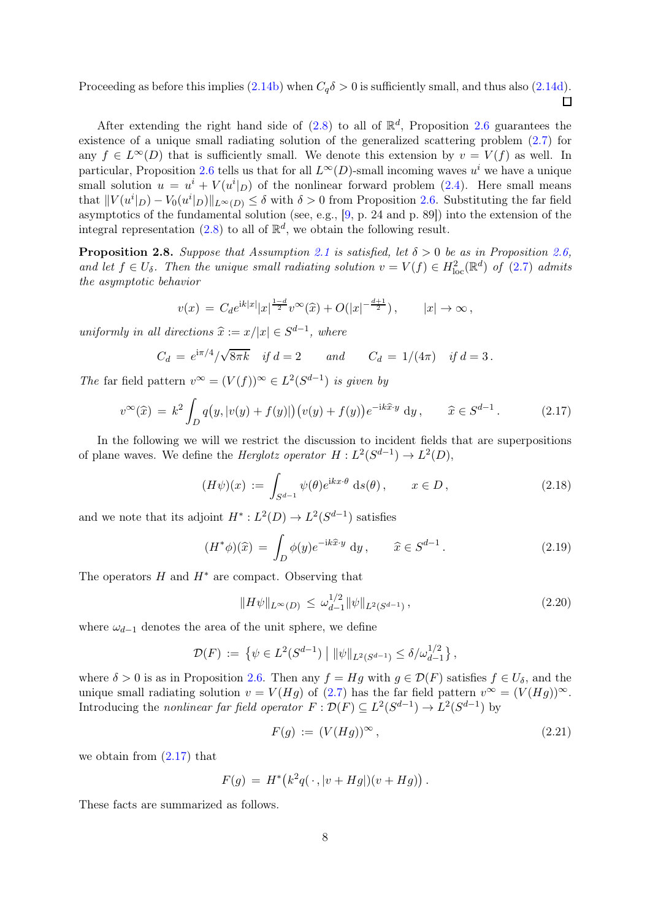Proceeding as before this implies  $(2.14b)$  when  $C_q\delta > 0$  is sufficiently small, and thus also  $(2.14d)$ .  $\Box$ 

After extending the right hand side of  $(2.8)$  to all of  $\mathbb{R}^d$ , Proposition [2.6](#page-5-1) guarantees the existence of a unique small radiating solution of the generalized scattering problem [\(2.7\)](#page-4-3) for any  $f \in L^{\infty}(D)$  that is sufficiently small. We denote this extension by  $v = V(f)$  as well. In particular, Proposition [2.6](#page-5-1) tells us that for all  $L^{\infty}(D)$ -small incoming waves  $u^{i}$  we have a unique small solution  $u = u^i + V(u^i|_D)$  of the nonlinear forward problem [\(2.4\)](#page-3-2). Here small means that  $||V(u^i|_D) - V_0(u^i|_D)||_{L^{\infty}(D)} \leq \delta$  with  $\delta > 0$  from Proposition [2.6.](#page-5-1) Substituting the far field asymptotics of the fundamental solution (see, e.g., [\[9,](#page-24-0) p. 24 and p. 89]) into the extension of the integral representation [\(2.8\)](#page-4-6) to all of  $\mathbb{R}^d$ , we obtain the following result.

<span id="page-7-5"></span>**Proposition 2.8.** Suppose that Assumption [2.1](#page-2-2) is satisfied, let  $\delta > 0$  be as in Proposition [2.6,](#page-5-1) and let  $f \in U_{\delta}$ . Then the unique small radiating solution  $v = V(f) \in H^2_{loc}(\mathbb{R}^d)$  of [\(2.7\)](#page-4-3) admits the asymptotic behavior

$$
v(x) = C_d e^{ik|x|} |x|^{\frac{1-d}{2}} v^{\infty}(\widehat{x}) + O(|x|^{-\frac{d+1}{2}}), \qquad |x| \to \infty,
$$

uniformly in all directions  $\hat{x} := x/|x| \in S^{d-1}$ , where

$$
C_d = e^{i\pi/4} / \sqrt{8\pi k}
$$
 if  $d = 2$  and  $C_d = 1/(4\pi)$  if  $d = 3$ .

The far field pattern  $v^{\infty} = (V(f))^{\infty} \in L^2(S^{d-1})$  is given by

<span id="page-7-0"></span>
$$
v^{\infty}(\widehat{x}) = k^2 \int_D q\big(y, |v(y) + f(y)|\big) \big(v(y) + f(y)\big) e^{-ik\widehat{x}\cdot y} dy, \qquad \widehat{x} \in S^{d-1}.
$$
 (2.17)

In the following we will we restrict the discussion to incident fields that are superpositions of plane waves. We define the *Herglotz operator*  $H: L^2(S^{d-1}) \to L^2(D)$ ,

<span id="page-7-1"></span>
$$
(H\psi)(x) := \int_{S^{d-1}} \psi(\theta) e^{ikx \cdot \theta} \, \mathrm{d}s(\theta), \qquad x \in D, \tag{2.18}
$$

and we note that its adjoint  $H^*: L^2(D) \to L^2(S^{d-1})$  satisfies

<span id="page-7-2"></span>
$$
(H^*\phi)(\widehat{x}) = \int_D \phi(y)e^{-ik\widehat{x}\cdot y} dy, \qquad \widehat{x} \in S^{d-1}.
$$
 (2.19)

The operators  $H$  and  $H^*$  are compact. Observing that

<span id="page-7-3"></span>
$$
||H\psi||_{L^{\infty}(D)} \le \omega_{d-1}^{1/2} ||\psi||_{L^{2}(S^{d-1})},
$$
\n(2.20)

where  $\omega_{d-1}$  denotes the area of the unit sphere, we define

$$
\mathcal{D}(F) := \left\{ \psi \in L^2(S^{d-1}) \mid ||\psi||_{L^2(S^{d-1})} \le \delta/\omega_{d-1}^{1/2} \right\},\
$$

where  $\delta > 0$  is as in Proposition [2.6.](#page-5-1) Then any  $f = Hg$  with  $g \in \mathcal{D}(F)$  satisfies  $f \in U_{\delta}$ , and the unique small radiating solution  $v = V(Hg)$  of [\(2.7\)](#page-4-3) has the far field pattern  $v^{\infty} = (V(Hg))^{\infty}$ . Introducing the *nonlinear far field operator*  $F : \mathcal{D}(F) \subseteq L^2(S^{d-1}) \to L^2(S^{d-1})$  by

<span id="page-7-4"></span>
$$
F(g) := (V(Hg))^\infty, \tag{2.21}
$$

we obtain from  $(2.17)$  that

$$
F(g) = H^* (k^2 q(\,\cdot\,,|v + Hg|)(v + Hg)).
$$

These facts are summarized as follows.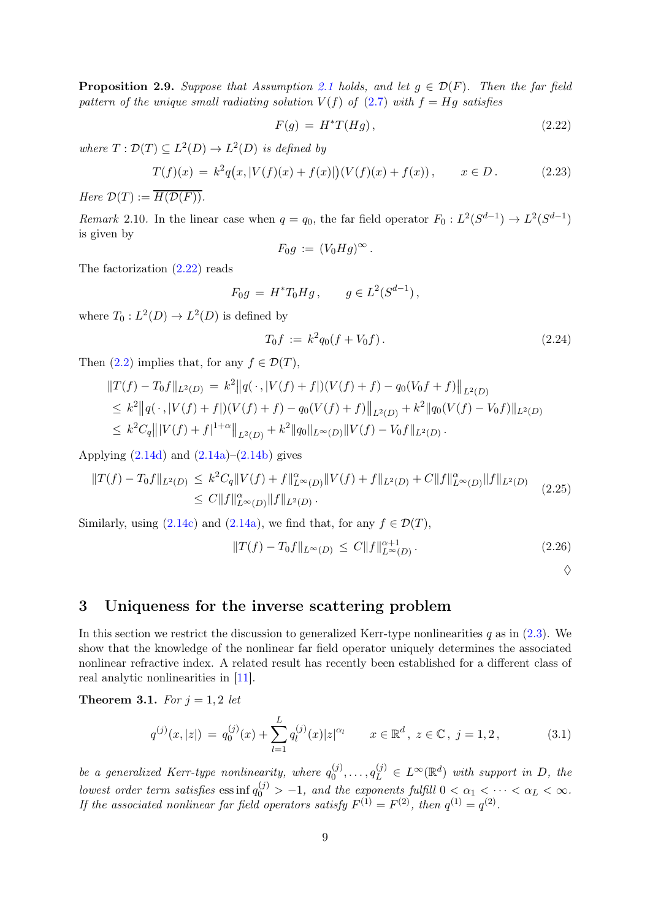<span id="page-8-3"></span>**Proposition 2.9.** Suppose that Assumption [2.1](#page-2-2) holds, and let  $g \in \mathcal{D}(F)$ . Then the far field pattern of the unique small radiating solution  $V(f)$  of [\(2.7\)](#page-4-3) with  $f = Hg$  satisfies

<span id="page-8-1"></span>
$$
F(g) = H^*T(Hg), \qquad (2.22)
$$

where  $T: \mathcal{D}(T) \subseteq L^2(D) \to L^2(D)$  is defined by

<span id="page-8-4"></span>
$$
T(f)(x) = k^2 q(x, |V(f)(x) + f(x)|)(V(f)(x) + f(x)), \qquad x \in D.
$$
 (2.23)

Here  $\mathcal{D}(T) := \overline{H(\mathcal{D}(F))}$ .

Remark 2.10. In the linear case when  $q = q_0$ , the far field operator  $F_0: L^2(S^{d-1}) \to L^2(S^{d-1})$ is given by

$$
F_0g := (V_0Hg)^{\infty}.
$$

The factorization [\(2.22\)](#page-8-1) reads

$$
F_0 g = H^* T_0 H g, \qquad g \in L^2(S^{d-1}),
$$

where  $T_0: L^2(D) \to L^2(D)$  is defined by

<span id="page-8-5"></span>
$$
T_0 f := k^2 q_0 (f + V_0 f). \tag{2.24}
$$

Then  $(2.2)$  implies that, for any  $f \in \mathcal{D}(T)$ ,

$$
||T(f) - T_0f||_{L^2(D)} = k^2 ||q(\cdot, |V(f) + f|)(V(f) + f) - q_0(V_0f + f)||_{L^2(D)}
$$
  
\n
$$
\leq k^2 ||q(\cdot, |V(f) + f|)(V(f) + f) - q_0(V(f) + f)||_{L^2(D)} + k^2 ||q_0(V(f) - V_0f)||_{L^2(D)}
$$
  
\n
$$
\leq k^2 C_q |||V(f) + f|^{1+\alpha}||_{L^2(D)} + k^2 ||q_0||_{L^{\infty}(D)} ||V(f) - V_0f||_{L^2(D)}.
$$

Applying  $(2.14d)$  and  $(2.14a)$ – $(2.14b)$  gives

<span id="page-8-7"></span>
$$
||T(f) - T_0f||_{L^2(D)} \le k^2 C_q ||V(f) + f||_{L^{\infty}(D)}^{\alpha} ||V(f) + f||_{L^2(D)} + C||f||_{L^{\infty}(D)}^{\alpha} ||f||_{L^2(D)} \le C||f||_{L^{\infty}(D)}^{\alpha} ||f||_{L^2(D)}.
$$
\n(2.25)

Similarly, using [\(2.14c\)](#page-5-8) and [\(2.14a\)](#page-5-6), we find that, for any  $f \in \mathcal{D}(T)$ ,

<span id="page-8-6"></span>
$$
||T(f) - T_0f||_{L^{\infty}(D)} \le C||f||_{L^{\infty}(D)}^{\alpha+1}.
$$
\n(2.26)

 $\Diamond$ 

#### <span id="page-8-0"></span>3 Uniqueness for the inverse scattering problem

In this section we restrict the discussion to generalized Kerr-type nonlinearities  $q$  as in [\(2.3\)](#page-3-4). We show that the knowledge of the nonlinear far field operator uniquely determines the associated nonlinear refractive index. A related result has recently been established for a different class of real analytic nonlinearities in [\[11\]](#page-24-6).

<span id="page-8-8"></span>**Theorem 3.1.** For  $j = 1, 2$  let

<span id="page-8-2"></span>
$$
q^{(j)}(x,|z|) = q_0^{(j)}(x) + \sum_{l=1}^{L} q_l^{(j)}(x)|z|^{\alpha_l} \qquad x \in \mathbb{R}^d, \ z \in \mathbb{C}, \ j = 1, 2,
$$
 (3.1)

be a generalized Kerr-type nonlinearity, where  $q_0^{(j)}$  $\mathbf{Q}_0^{(j)}, \ldots, \mathbf{q}_L^{(j)} \in L^{\infty}(\mathbb{R}^d)$  with support in D, the lowest order term satisfies  $\text{ess inf } q_0^{(j)} > -1$ , and the exponents fulfill  $0 < \alpha_1 < \cdots < \alpha_L < \infty$ . If the associated nonlinear far field operators satisfy  $F^{(1)} = F^{(2)}$ , then  $q^{(1)} = q^{(2)}$ .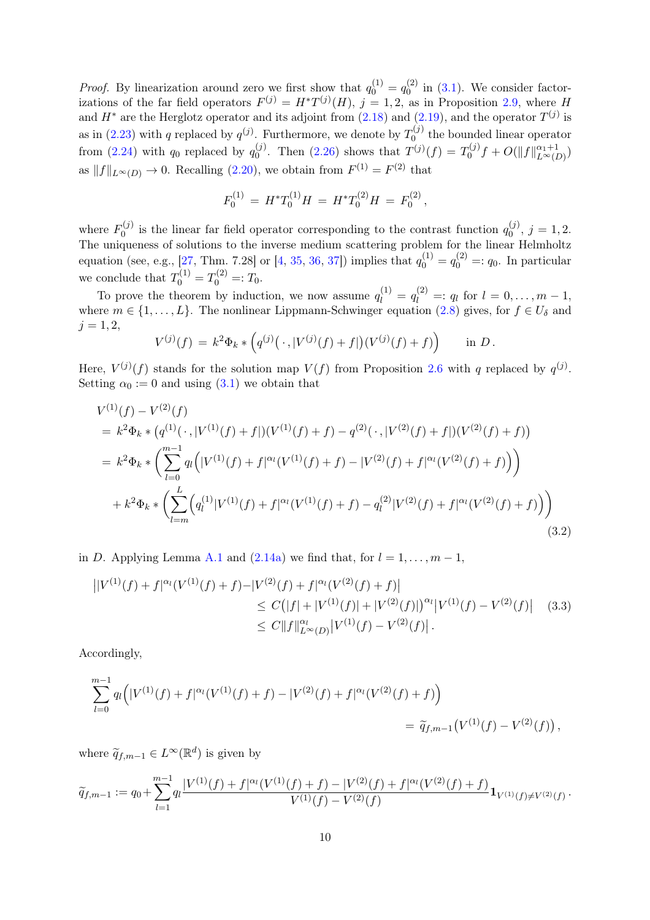*Proof.* By linearization around zero we first show that  $q_0^{(1)} = q_0^{(2)}$  $\int_0^{(2)}$  in [\(3.1\)](#page-8-2). We consider factorizations of the far field operators  $F^{(j)} = H^*T^{(j)}(H)$ ,  $j = 1, 2$ , as in Proposition [2.9,](#page-8-3) where H and  $H^*$  are the Herglotz operator and its adjoint from [\(2.18\)](#page-7-1) and [\(2.19\)](#page-7-2), and the operator  $T^{(j)}$  is as in [\(2.23\)](#page-8-4) with q replaced by  $q^{(j)}$ . Furthermore, we denote by  $T_0^{(j)}$  $\int_0^{1}$  the bounded linear operator from [\(2.24\)](#page-8-5) with  $q_0$  replaced by  $q_0^{(j)}$  $_{0}^{(j)}$ . Then [\(2.26\)](#page-8-6) shows that  $T^{(j)}(f) = T_{0}^{(j)}$  $\int_0^{(j)} f + O(||f||_{L^{\infty}(D)}^{\alpha_1+1})$ as  $||f||_{L^{\infty}(D)} \to 0$ . Recalling [\(2.20\)](#page-7-3), we obtain from  $F^{(1)} = F^{(2)}$  that

$$
F_0^{(1)} = H^*T_0^{(1)}H = H^*T_0^{(2)}H = F_0^{(2)},
$$

where  $F_0^{(j)}$  $q_0^{(j)}$  is the linear far field operator corresponding to the contrast function  $q_0^{(j)}$  $j^{(j)}$ ,  $j = 1, 2$ . The uniqueness of solutions to the inverse medium scattering problem for the linear Helmholtz equation (see, e.g., [\[27,](#page-25-19) Thm. 7.28] or [\[4,](#page-24-7) [35,](#page-25-5) [36,](#page-25-6) [37\]](#page-25-7)) implies that  $q_0^{(1)} = q_0^{(2)} =: q_0$ . In particular we conclude that  $T_0^{(1)} = T_0^{(2)} =: T_0$ .

To prove the theorem by induction, we now assume  $q_l^{(1)} = q_l^{(2)} =: q_l$  for  $l = 0, \ldots, m-1$ , where  $m \in \{1, \ldots, L\}$ . The nonlinear Lippmann-Schwinger equation [\(2.8\)](#page-4-6) gives, for  $f \in U_{\delta}$  and  $j = 1, 2,$ 

$$
V^{(j)}(f) = k^2 \Phi_k * (q^{(j)}(\cdot, |V^{(j)}(f) + f|)(V^{(j)}(f) + f)) \quad \text{in } D.
$$

Here,  $V^{(j)}(f)$  stands for the solution map  $V(f)$  from Proposition [2.6](#page-5-1) with q replaced by  $q^{(j)}$ . Setting  $\alpha_0 := 0$  and using [\(3.1\)](#page-8-2) we obtain that

<span id="page-9-0"></span>
$$
V^{(1)}(f) - V^{(2)}(f)
$$
  
=  $k^2 \Phi_k * (q^{(1)}(\cdot, |V^{(1)}(f) + f|)(V^{(1)}(f) + f) - q^{(2)}(\cdot, |V^{(2)}(f) + f|)(V^{(2)}(f) + f))$   
=  $k^2 \Phi_k * \left( \sum_{l=0}^{m-1} q_l (|V^{(1)}(f) + f|^{\alpha_l} (V^{(1)}(f) + f) - |V^{(2)}(f) + f|^{\alpha_l} (V^{(2)}(f) + f) \right)$   
+  $k^2 \Phi_k * \left( \sum_{l=m}^{L} (q_l^{(1)} |V^{(1)}(f) + f|^{\alpha_l} (V^{(1)}(f) + f) - q_l^{(2)} |V^{(2)}(f) + f|^{\alpha_l} (V^{(2)}(f) + f) \right)$   
(3.2)

in D. Applying Lemma [A.1](#page-23-0) and [\(2.14a\)](#page-5-6) we find that, for  $l = 1, ..., m - 1$ ,

<span id="page-9-1"></span>
$$
\begin{split} \left| |V^{(1)}(f) + f|^{\alpha_l} (V^{(1)}(f) + f) - |V^{(2)}(f) + f|^{\alpha_l} (V^{(2)}(f) + f) \right| \\ &\le C \big( |f| + |V^{(1)}(f)| + |V^{(2)}(f)| \big)^{\alpha_l} |V^{(1)}(f) - V^{(2)}(f)| \end{split} \tag{3.3}
$$
\n
$$
\le C \|f\|_{L^{\infty}(D)}^{\alpha_l} |V^{(1)}(f) - V^{(2)}(f)| \, .
$$

Accordingly,

$$
\sum_{l=0}^{m-1} q_l (|V^{(1)}(f) + f|^{\alpha_l} (V^{(1)}(f) + f) - |V^{(2)}(f) + f|^{\alpha_l} (V^{(2)}(f) + f) )
$$
  
=  $\tilde{q}_{f,m-1} (V^{(1)}(f) - V^{(2)}(f)),$ 

where  $\widetilde{q}_{f,m-1} \in L^{\infty}(\mathbb{R}^d)$  is given by

$$
\widetilde{q}_{f,m-1} := q_0 + \sum_{l=1}^{m-1} q_l \frac{|V^{(1)}(f) + f|^{\alpha_l}(V^{(1)}(f) + f) - |V^{(2)}(f) + f|^{\alpha_l}(V^{(2)}(f) + f)}{V^{(1)}(f) - V^{(2)}(f)} \mathbf{1}_{V^{(1)}(f) \neq V^{(2)}(f)}.
$$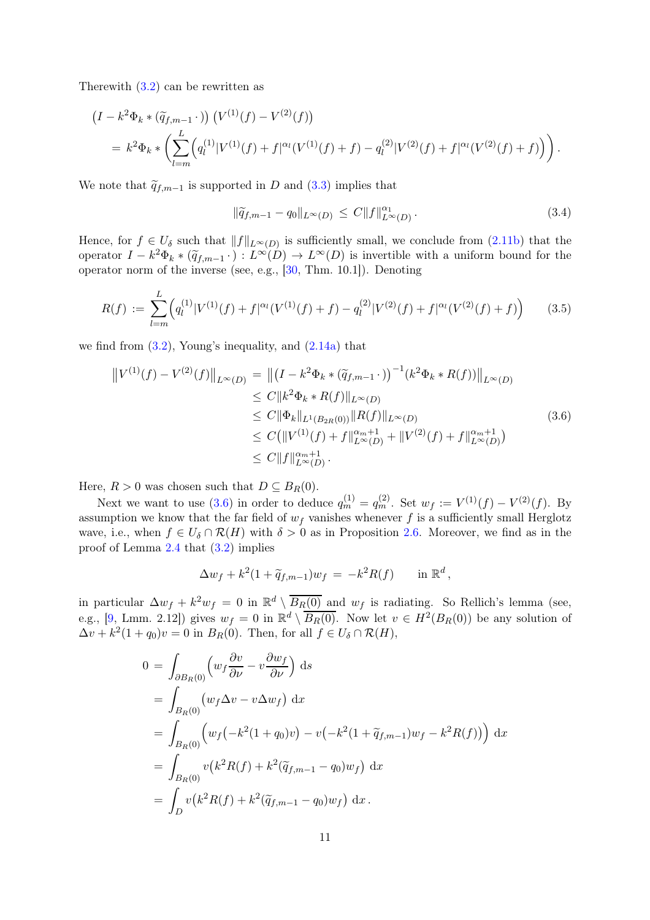Therewith  $(3.2)$  can be rewritten as

$$
(I - k^{2} \Phi_{k} * (\widetilde{q}_{f,m-1} \cdot)) (V^{(1)}(f) - V^{(2)}(f))
$$
  
=  $k^{2} \Phi_{k} * (\sum_{l=m}^{L} (q_{l}^{(1)}|V^{(1)}(f) + f|^{\alpha_{l}}(V^{(1)}(f) + f) - q_{l}^{(2)}|V^{(2)}(f) + f|^{\alpha_{l}}(V^{(2)}(f) + f)) ).$ 

We note that  $\tilde{q}_{f,m-1}$  is supported in D and [\(3.3\)](#page-9-1) implies that

<span id="page-10-1"></span>
$$
\|\tilde{q}_{f,m-1} - q_0\|_{L^{\infty}(D)} \le C \|f\|_{L^{\infty}(D)}^{\alpha_1}.
$$
\n(3.4)

Hence, for  $f \in U_{\delta}$  such that  $||f||_{L^{\infty}(D)}$  is sufficiently small, we conclude from [\(2.11b\)](#page-5-4) that the operator  $I - k^2 \Phi_k * (\widetilde{q}_{f,m-1} \cdot) : L^{\infty}(D) \to L^{\infty}(D)$  is invertible with a uniform bound for the operator norm of the inverse (see, e.g., [\[30,](#page-25-20) Thm. 10.1]). Denoting

<span id="page-10-2"></span>
$$
R(f) := \sum_{l=m}^{L} \Big( q_l^{(1)} |V^{(1)}(f) + f|^{\alpha_l} (V^{(1)}(f) + f) - q_l^{(2)} |V^{(2)}(f) + f|^{\alpha_l} (V^{(2)}(f) + f) \Big) \tag{3.5}
$$

we find from  $(3.2)$ , Young's inequality, and  $(2.14a)$  that

<span id="page-10-0"></span>
$$
\|V^{(1)}(f) - V^{(2)}(f)\|_{L^{\infty}(D)} = \| (I - k^2 \Phi_k * (\tilde{q}_{f,m-1} \cdot))^{-1} (k^2 \Phi_k * R(f)) \|_{L^{\infty}(D)}
$$
  
\n
$$
\leq C \|k^2 \Phi_k * R(f) \|_{L^{\infty}(D)}
$$
  
\n
$$
\leq C \|\Phi_k\|_{L^1(B_{2R}(0))} \|R(f)\|_{L^{\infty}(D)}
$$
  
\n
$$
\leq C (\|V^{(1)}(f) + f\|_{L^{\infty}(D)}^{\alpha_m+1} + \|V^{(2)}(f) + f\|_{L^{\infty}(D)}^{\alpha_m+1})
$$
  
\n
$$
\leq C \|f\|_{L^{\infty}(D)}^{\alpha_m+1}.
$$
  
\n(3.6)

Here,  $R > 0$  was chosen such that  $D \subseteq B_R(0)$ .

Next we want to use [\(3.6\)](#page-10-0) in order to deduce  $q_m^{(1)} = q_m^{(2)}$ . Set  $w_f := V^{(1)}(f) - V^{(2)}(f)$ . By assumption we know that the far field of  $w_f$  vanishes whenever f is a sufficiently small Herglotz wave, i.e., when  $f \in U_{\delta} \cap \mathcal{R}(H)$  with  $\delta > 0$  as in Proposition [2.6.](#page-5-1) Moreover, we find as in the proof of Lemma [2.4](#page-4-2) that [\(3.2\)](#page-9-0) implies

$$
\Delta w_f + k^2 (1 + \widetilde{q}_{f,m-1}) w_f = -k^2 R(f) \quad \text{in } \mathbb{R}^d,
$$

in particular  $\Delta w_f + k^2 w_f = 0$  in  $\mathbb{R}^d \setminus \overline{B_R(0)}$  and  $w_f$  is radiating. So Rellich's lemma (see, e.g., [\[9,](#page-24-0) Lmm. 2.12]) gives  $w_f = 0$  in  $\mathbb{R}^d \setminus \overline{B_R(0)}$ . Now let  $v \in H^2(B_R(0))$  be any solution of  $\Delta v + k^2(1+q_0)v = 0$  in  $B_R(0)$ . Then, for all  $f \in U_\delta \cap \mathcal{R}(H)$ ,

$$
0 = \int_{\partial B_R(0)} \left( w_f \frac{\partial v}{\partial \nu} - v \frac{\partial w_f}{\partial \nu} \right) ds
$$
  
\n
$$
= \int_{B_R(0)} \left( w_f \Delta v - v \Delta w_f \right) dx
$$
  
\n
$$
= \int_{B_R(0)} \left( w_f \left( -k^2 (1 + q_0) v \right) - v \left( -k^2 (1 + \tilde{q}_{f,m-1}) w_f - k^2 R(f) \right) \right) dx
$$
  
\n
$$
= \int_{B_R(0)} v \left( k^2 R(f) + k^2 (\tilde{q}_{f,m-1} - q_0) w_f \right) dx
$$
  
\n
$$
= \int_D v \left( k^2 R(f) + k^2 (\tilde{q}_{f,m-1} - q_0) w_f \right) dx.
$$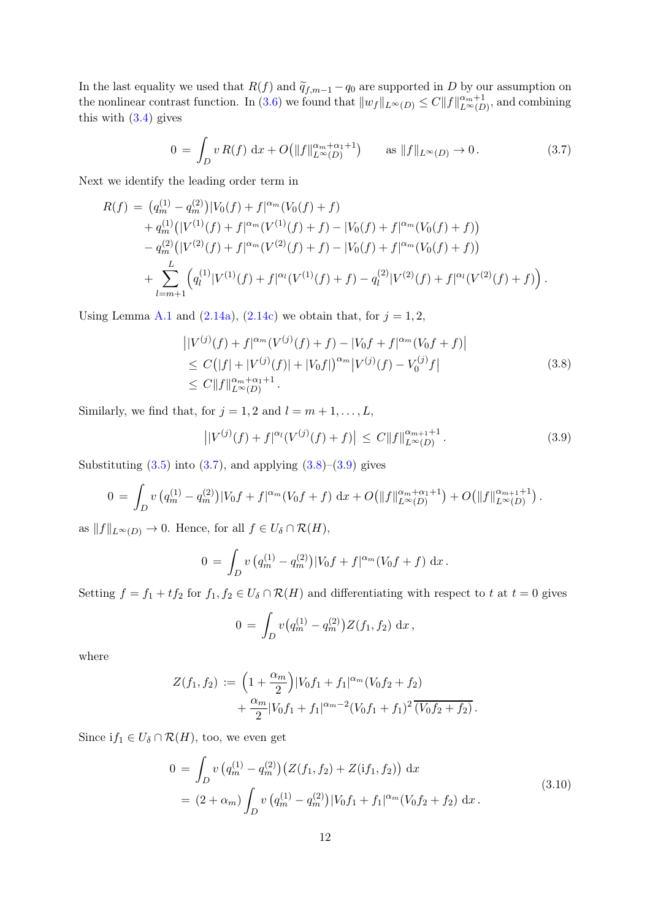In the last equality we used that  $R(f)$  and  $\widetilde{q}_{f,m-1} - q_0$  are supported in D by our assumption on the nonlinear contrast function. In [\(3.6\)](#page-10-0) we found that  $||w_f||_{L^{\infty}(D)} \leq C ||f||_{L^{\infty}(D)}^{\alpha_m+1}$ , and combining this with  $(3.4)$  gives

<span id="page-11-0"></span>
$$
0 = \int_D v R(f) dx + O(||f||_{L^{\infty}(D)}^{\alpha_m + \alpha_1 + 1}) \quad \text{as } ||f||_{L^{\infty}(D)} \to 0.
$$
 (3.7)

Next we identify the leading order term in

$$
R(f) = (q_m^{(1)} - q_m^{(2)})|V_0(f) + f|^{\alpha_m}(V_0(f) + f)
$$
  
+  $q_m^{(1)}(|V^{(1)}(f) + f|^{\alpha_m}(V^{(1)}(f) + f) - |V_0(f) + f|^{\alpha_m}(V_0(f) + f))$   
-  $q_m^{(2)}(|V^{(2)}(f) + f|^{\alpha_m}(V^{(2)}(f) + f) - |V_0(f) + f|^{\alpha_m}(V_0(f) + f))$   
+ 
$$
\sum_{l=m+1}^{L} (q_l^{(1)}|V^{(1)}(f) + f|^{\alpha_l}(V^{(1)}(f) + f) - q_l^{(2)}|V^{(2)}(f) + f|^{\alpha_l}(V^{(2)}(f) + f)).
$$

Using Lemma [A.1](#page-23-0) and [\(2.14a\)](#page-5-6), [\(2.14c\)](#page-5-8) we obtain that, for  $j = 1, 2$ ,

$$
\left| |V^{(j)}(f) + f|^{\alpha_m} (V^{(j)}(f) + f) - |V_0 f + f|^{\alpha_m} (V_0 f + f) \right|
$$
  
\n
$$
\leq C \left( |f| + |V^{(j)}(f)| + |V_0 f| \right)^{\alpha_m} |V^{(j)}(f) - V_0^{(j)} f|
$$
  
\n
$$
\leq C \|f\|_{L^{\infty}(D)}^{\alpha_m + \alpha_1 + 1}.
$$
\n(3.8)

<span id="page-11-1"></span>Similarly, we find that, for  $j = 1, 2$  and  $l = m + 1, \ldots, L$ ,

<span id="page-11-2"></span>
$$
\left| |V^{(j)}(f) + f|^{\alpha_l} (V^{(j)}(f) + f) \right| \le C \|f\|_{L^{\infty}(D)}^{\alpha_{m+1}+1}.
$$
\n(3.9)

Substituting  $(3.5)$  into  $(3.7)$ , and applying  $(3.8)$ – $(3.9)$  gives

$$
0 = \int_D v \left( q_m^{(1)} - q_m^{(2)} \right) |V_0 f + f|^{ \alpha_m} (V_0 f + f) \, dx + O \big( \|f\|_{L^{\infty}(D)}^{\alpha_m + \alpha_1 + 1} \big) + O \big( \|f\|_{L^{\infty}(D)}^{\alpha_{m+1} + 1} \big).
$$

as  $||f||_{L^{\infty}(D)} \to 0$ . Hence, for all  $f \in U_{\delta} \cap \mathcal{R}(H)$ ,

$$
0 = \int_D v \left( q_m^{(1)} - q_m^{(2)} \right) |V_0 f + f|^{\alpha_m} (V_0 f + f) \, \mathrm{d}x \, .
$$

Setting  $f = f_1 + tf_2$  for  $f_1, f_2 \in U_\delta \cap \mathcal{R}(H)$  and differentiating with respect to t at  $t = 0$  gives

$$
0 = \int_D v(q_m^{(1)} - q_m^{(2)}) Z(f_1, f_2) \, dx \,,
$$

where

$$
Z(f_1, f_2) := \left(1 + \frac{\alpha_m}{2}\right)|V_0 f_1 + f_1|^{\alpha_m} (V_0 f_2 + f_2) + \frac{\alpha_m}{2}|V_0 f_1 + f_1|^{\alpha_m - 2} (V_0 f_1 + f_1)^2 \overline{(V_0 f_2 + f_2)}.
$$

<span id="page-11-3"></span>Since  $if_1 \in U_\delta \cap \mathcal{R}(H)$ , too, we even get

$$
0 = \int_{D} v (q_m^{(1)} - q_m^{(2)}) (Z(f_1, f_2) + Z(i f_1, f_2)) dx
$$
  
=  $(2 + \alpha_m) \int_{D} v (q_m^{(1)} - q_m^{(2)}) |V_0 f_1 + f_1|^{\alpha_m} (V_0 f_2 + f_2) dx.$  (3.10)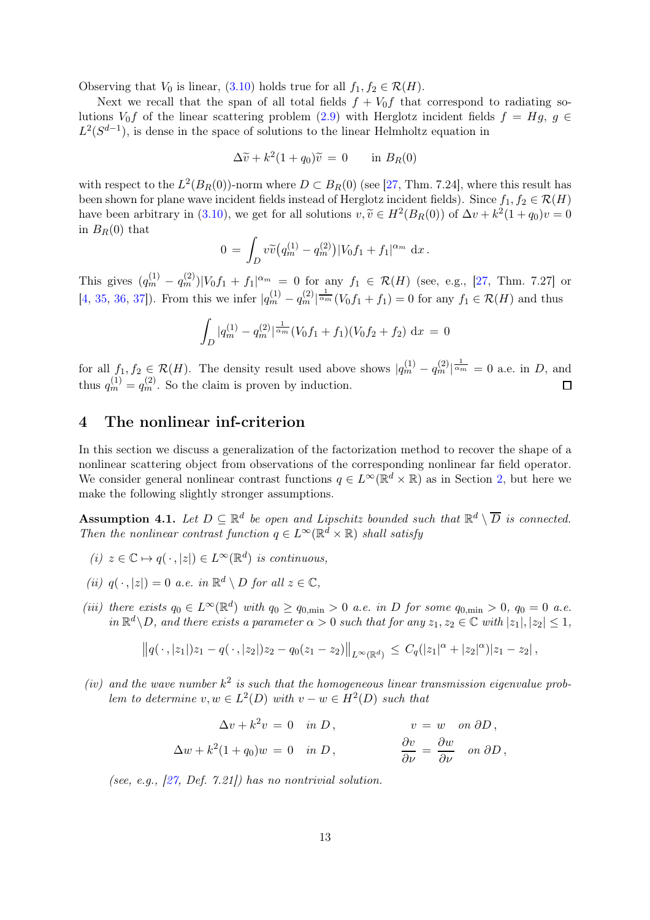Observing that  $V_0$  is linear, [\(3.10\)](#page-11-3) holds true for all  $f_1, f_2 \in \mathcal{R}(H)$ .

Next we recall that the span of all total fields  $f + V_0 f$  that correspond to radiating solutions  $V_0 f$  of the linear scattering problem [\(2.9\)](#page-4-4) with Herglotz incident fields  $f = Hg$ ,  $g \in$  $L^2(S^{d-1})$ , is dense in the space of solutions to the linear Helmholtz equation in

$$
\Delta \widetilde{v} + k^2 (1 + q_0) \widetilde{v} = 0 \quad \text{in } B_R(0)
$$

with respect to the  $L^2(B_R(0))$ -norm where  $D \subset B_R(0)$  (see [\[27,](#page-25-19) Thm. 7.24], where this result has been shown for plane wave incident fields instead of Herglotz incident fields). Since  $f_1, f_2 \in \mathcal{R}(H)$ have been arbitrary in [\(3.10\)](#page-11-3), we get for all solutions  $v, \tilde{v} \in H^2(B_R(0))$  of  $\Delta v + k^2(1+q_0)v = 0$ in  $B_R(0)$  that

$$
0\,=\,\int_D v\widetilde v\big(q_m^{(1)}-q_m^{(2)}\big)|V_0f_1+f_1|^{\alpha_m}\,\mathop{\mathrm{d}\!} x\,.
$$

This gives  $(q_m^{(1)} - q_m^{(2)}) |V_0 f_1 + f_1|^{\alpha_m} = 0$  for any  $f_1 \in \mathcal{R}(H)$  (see, e.g., [\[27,](#page-25-19) Thm. 7.27] or [\[4,](#page-24-7) [35,](#page-25-5) [36,](#page-25-6) [37\]](#page-25-7)). From this we infer  $|q_m^{(1)} - q_m^{(2)}|$  $\frac{1}{\alpha m}(V_0f_1+f_1)=0$  for any  $f_1 \in \mathcal{R}(H)$  and thus

$$
\int_D |q_m^{(1)} - q_m^{(2)}|^{\frac{1}{\alpha_m}} (V_0 f_1 + f_1)(V_0 f_2 + f_2) dx = 0
$$

for all  $f_1, f_2 \in \mathcal{R}(H)$ . The density result used above shows  $|q_m^{(1)} - q_m^{(2)}|$  $\frac{1}{\alpha_m} = 0$  a.e. in D, and thus  $q_m^{(1)} = q_m^{(2)}$ . So the claim is proven by induction.

### <span id="page-12-0"></span>4 The nonlinear inf-criterion

In this section we discuss a generalization of the factorization method to recover the shape of a nonlinear scattering object from observations of the corresponding nonlinear far field operator. We consider general nonlinear contrast functions  $q \in L^{\infty}(\mathbb{R}^d \times \mathbb{R})$  as in Section [2,](#page-2-0) but here we make the following slightly stronger assumptions.

<span id="page-12-1"></span>Assumption 4.1. Let  $D \subseteq \mathbb{R}^d$  be open and Lipschitz bounded such that  $\mathbb{R}^d \setminus \overline{D}$  is connected. Then the nonlinear contrast function  $q \in L^{\infty}(\mathbb{R}^d \times \mathbb{R})$  shall satisfy

- (i)  $z \in \mathbb{C} \mapsto q(\cdot, |z|) \in L^{\infty}(\mathbb{R}^d)$  is continuous,
- (ii)  $q(\cdot, |z|) = 0$  a.e. in  $\mathbb{R}^d \setminus D$  for all  $z \in \mathbb{C}$ ,
- (iii) there exists  $q_0 \in L^{\infty}(\mathbb{R}^d)$  with  $q_0 \ge q_{0,\min} > 0$  a.e. in D for some  $q_{0,\min} > 0$ ,  $q_0 = 0$  a.e. in  $\mathbb{R}^d \setminus D$ , and there exists a parameter  $\alpha > 0$  such that for any  $z_1, z_2 \in \mathbb{C}$  with  $|z_1|, |z_2| \leq 1$ ,

$$
||q(\,\cdot\,,|z_1|)z_1-q(\,\cdot\,,|z_2|)z_2-q_0(z_1-z_2)||_{L^{\infty}(\mathbb{R}^d)} \leq C_q(|z_1|^{\alpha}+|z_2|^{\alpha})|z_1-z_2|,
$$

(iv) and the wave number  $k^2$  is such that the homogeneous linear transmission eigenvalue problem to determine  $v, w \in L^2(D)$  with  $v - w \in H^2(D)$  such that

$$
\Delta v + k^2 v = 0 \quad \text{in } D, \qquad v = w \quad \text{on } \partial D,
$$
  

$$
\Delta w + k^2 (1 + q_0) w = 0 \quad \text{in } D, \qquad \frac{\partial v}{\partial \nu} = \frac{\partial w}{\partial \nu} \quad \text{on } \partial D,
$$

(see, e.g.,  $[27, Def. 7.21]$ ) has no nontrivial solution.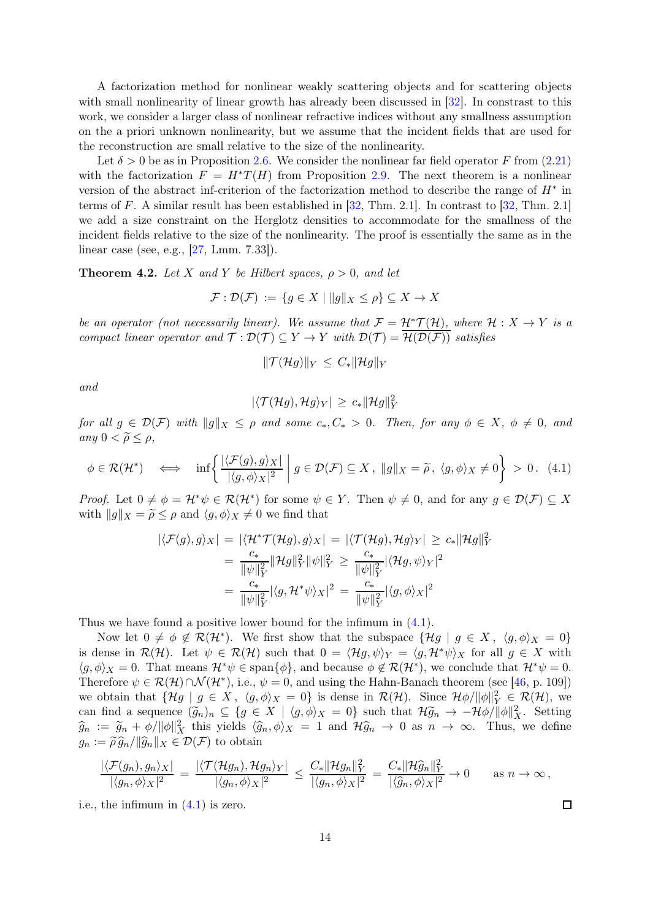A factorization method for nonlinear weakly scattering objects and for scattering objects with small nonlinearity of linear growth has already been discussed in  $[32]$ . In constrast to this work, we consider a larger class of nonlinear refractive indices without any smallness assumption on the a priori unknown nonlinearity, but we assume that the incident fields that are used for the reconstruction are small relative to the size of the nonlinearity.

Let  $\delta > 0$  be as in Proposition [2.6.](#page-5-1) We consider the nonlinear far field operator F from [\(2.21\)](#page-7-4) with the factorization  $F = H^*T(H)$  from Proposition [2.9.](#page-8-3) The next theorem is a nonlinear version of the abstract inf-criterion of the factorization method to describe the range of  $H^*$  in terms of F. A similar result has been established in [\[32,](#page-25-2) Thm. 2.1]. In contrast to [\[32,](#page-25-2) Thm. 2.1] we add a size constraint on the Herglotz densities to accommodate for the smallness of the incident fields relative to the size of the nonlinearity. The proof is essentially the same as in the linear case (see, e.g., [\[27,](#page-25-19) Lmm. 7.33]).

<span id="page-13-1"></span>**Theorem 4.2.** Let X and Y be Hilbert spaces,  $\rho > 0$ , and let

$$
\mathcal{F}: \mathcal{D}(\mathcal{F}) := \{ g \in X \mid ||g||_X \le \rho \} \subseteq X \to X
$$

be an operator (not necessarily linear). We assume that  $\mathcal{F} = \mathcal{H}^* \mathcal{T}(\mathcal{H})$ , where  $\mathcal{H} : X \to Y$  is a compact linear operator and  $\mathcal{T} : \mathcal{D}(\mathcal{T}) \subseteq Y \to Y$  with  $\mathcal{D}(\mathcal{T}) = \overline{\mathcal{H}(\mathcal{D}(\mathcal{F}))}$  satisfies

$$
\|\mathcal{T}(\mathcal{H}g)\|_{Y} \leq C_{*} \|\mathcal{H}g\|_{Y}
$$

and

$$
|\langle \mathcal{T}(\mathcal{H}g),\mathcal{H}g\rangle_Y|\,\geq\,c_*\|\mathcal{H}g\|_Y^2
$$

for all  $g \in \mathcal{D}(\mathcal{F})$  with  $||g||_X \leq \rho$  and some  $c_*, C_* > 0$ . Then, for any  $\phi \in X, \ \phi \neq 0$ , and any  $0 < \widetilde{\rho} \leq \rho$ ,

<span id="page-13-0"></span>
$$
\phi \in \mathcal{R}(\mathcal{H}^*) \quad \Longleftrightarrow \quad \inf \left\{ \frac{|\langle \mathcal{F}(g), g \rangle_X|}{|\langle g, \phi \rangle_X|^2} \; \middle| \; g \in \mathcal{D}(\mathcal{F}) \subseteq X \, , \, \|g\|_X = \widetilde{\rho} \, , \, \langle g, \phi \rangle_X \neq 0 \right\} \, > \, 0 \, . \tag{4.1}
$$

*Proof.* Let  $0 \neq \phi = \mathcal{H}^*\psi \in \mathcal{R}(\mathcal{H}^*)$  for some  $\psi \in Y$ . Then  $\psi \neq 0$ , and for any  $g \in \mathcal{D}(\mathcal{F}) \subseteq X$ with  $||g||_X = \tilde{\rho} \leq \rho$  and  $\langle g, \phi \rangle_X \neq 0$  we find that

$$
\begin{aligned} |\langle \mathcal{F}(g), g \rangle_X| &= |\langle \mathcal{H}^* \mathcal{T}(\mathcal{H}g), g \rangle_X| = |\langle \mathcal{T}(\mathcal{H}g), \mathcal{H}g \rangle_Y| \ge c_* \|\mathcal{H}g\|_Y^2 \\ &= \frac{c_*}{\|\psi\|_Y^2} \|\mathcal{H}g\|_Y^2 \|\psi\|_Y^2 \ge \frac{c_*}{\|\psi\|_Y^2} |\langle \mathcal{H}g, \psi \rangle_Y|^2 \\ &= \frac{c_*}{\|\psi\|_Y^2} |\langle g, \mathcal{H}^* \psi \rangle_X|^2 = \frac{c_*}{\|\psi\|_Y^2} |\langle g, \phi \rangle_X|^2 \end{aligned}
$$

Thus we have found a positive lower bound for the infimum in [\(4.1\)](#page-13-0).

Now let  $0 \neq \phi \notin \mathcal{R}(\mathcal{H}^*)$ . We first show that the subspace  $\{\mathcal{H}g \mid g \in X, \langle g, \phi \rangle_X = 0\}$ is dense in  $\mathcal{R}(\mathcal{H})$ . Let  $\psi \in \mathcal{R}(\mathcal{H})$  such that  $0 = \langle \mathcal{H}g, \psi \rangle_Y = \langle g, \mathcal{H}^*\psi \rangle_X$  for all  $g \in X$  with  $\langle g, \phi \rangle_X = 0$ . That means  $\mathcal{H}^* \psi \in \text{span}\{\phi\}$ , and because  $\phi \notin \mathcal{R}(\mathcal{H}^*)$ , we conclude that  $\mathcal{H}^* \psi = 0$ . Therefore  $\psi \in \mathcal{R}(\mathcal{H}) \cap \mathcal{N}(\mathcal{H}^*)$ , i.e.,  $\psi = 0$ , and using the Hahn-Banach theorem (see [\[46,](#page-26-1) p. 109]) we obtain that  $\{\mathcal{H}g \mid g \in X, \langle g, \phi \rangle_X = 0\}$  is dense in  $\mathcal{R}(\mathcal{H})$ . Since  $\mathcal{H}\phi/\|\phi\|_Y^2 \in \mathcal{R}(\mathcal{H})$ , we can find a sequence  $(\widetilde{g}_n)_n \subseteq \{g \in X \mid \langle g, \phi \rangle_X = 0\}$  such that  $\mathcal{H}\widetilde{g}_n \to -\mathcal{H}\phi/\|\phi\|_X^2$ . Setting  $\widehat{g}_n := \widetilde{g}_n + \phi/\|\phi\|_X^2$  this yields  $\langle \widehat{g}_n, \phi \rangle_X = 1$  and  $\mathcal{H}\widehat{g}_n \to 0$  as  $n \to \infty$ . Thus, we define  $g_n := \widetilde{\rho} \widehat{g}_n / ||\widehat{g}_n||_X \in \mathcal{D}(\mathcal{F})$  to obtain

$$
\frac{|\langle \mathcal{F}(g_n), g_n \rangle_X|}{|\langle g_n, \phi \rangle_X|^2} = \frac{|\langle \mathcal{T}(\mathcal{H}g_n), \mathcal{H}g_n \rangle_Y|}{|\langle g_n, \phi \rangle_X|^2} \le \frac{C_* \|\mathcal{H}g_n\|_Y^2}{|\langle g_n, \phi \rangle_X|^2} = \frac{C_* \|\mathcal{H}\widehat{g}_n\|_Y^2}{|\langle \widehat{g}_n, \phi \rangle_X|^2} \to 0 \quad \text{as } n \to \infty,
$$

i.e., the infimum in [\(4.1\)](#page-13-0) is zero.

 $\Box$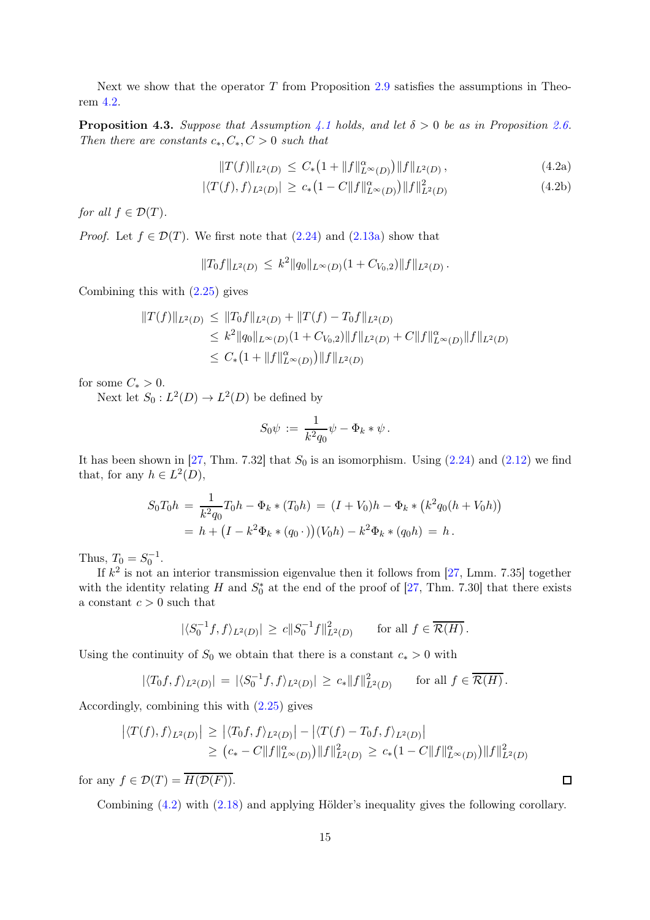Next we show that the operator  $T$  from Proposition [2.9](#page-8-3) satisfies the assumptions in Theorem [4.2.](#page-13-1)

**Proposition 4.3.** Suppose that Assumption [4.1](#page-12-1) holds, and let  $\delta > 0$  be as in Proposition [2.6.](#page-5-1) Then there are constants  $c_*, C_*, C > 0$  such that

<span id="page-14-0"></span>
$$
||T(f)||_{L^{2}(D)} \leq C_{*}\left(1 + ||f||_{L^{\infty}(D)}^{\alpha}\right) ||f||_{L^{2}(D)}, \tag{4.2a}
$$

$$
|\langle T(f), f \rangle_{L^2(D)}| \ge c_* \left(1 - C \|f\|_{L^\infty(D)}^\alpha\right) \|f\|_{L^2(D)}^2 \tag{4.2b}
$$

for all  $f \in \mathcal{D}(T)$ .

*Proof.* Let  $f \in \mathcal{D}(T)$ . We first note that  $(2.24)$  and  $(2.13a)$  show that

$$
||T_0f||_{L^2(D)} \le k^2 ||q_0||_{L^{\infty}(D)} (1 + C_{V_0,2}) ||f||_{L^2(D)}.
$$

Combining this with [\(2.25\)](#page-8-7) gives

$$
||T(f)||_{L^{2}(D)} \le ||T_0f||_{L^{2}(D)} + ||T(f) - T_0f||_{L^{2}(D)}
$$
  
\n
$$
\le k^2 ||q_0||_{L^{\infty}(D)} (1 + C_{V_0,2}) ||f||_{L^{2}(D)} + C ||f||_{L^{\infty}(D)}^{\alpha} ||f||_{L^{2}(D)}
$$
  
\n
$$
\le C_* (1 + ||f||_{L^{\infty}(D)}^{\alpha} ) ||f||_{L^{2}(D)}
$$

for some  $C_* > 0$ .

Next let  $S_0: L^2(D) \to L^2(D)$  be defined by

$$
S_0\psi\,:=\,\frac{1}{k^2q_0}\psi-\Phi_k*\psi\,.
$$

It has been shown in [\[27,](#page-25-19) Thm. 7.32] that  $S_0$  is an isomorphism. Using  $(2.24)$  and  $(2.12)$  we find that, for any  $h \in L^2(D)$ ,

$$
S_0 T_0 h = \frac{1}{k^2 q_0} T_0 h - \Phi_k * (T_0 h) = (I + V_0) h - \Phi_k * (k^2 q_0 (h + V_0 h))
$$
  
=  $h + (I - k^2 \Phi_k * (q_0 \cdot))(V_0 h) - k^2 \Phi_k * (q_0 h) = h.$ 

Thus,  $T_0 = S_0^{-1}$ .

If  $k^2$  is not an interior transmission eigenvalue then it follows from [\[27,](#page-25-19) Lmm. 7.35] together with the identity relating  $H$  and  $S_0^*$  at the end of the proof of [\[27,](#page-25-19) Thm. 7.30] that there exists a constant  $c > 0$  such that

$$
|\langle S_0^{-1}f, f \rangle_{L^2(D)}| \ge c \|S_0^{-1}f\|_{L^2(D)}^2
$$
 for all  $f \in \overline{\mathcal{R}(H)}$ .

Using the continuity of  $S_0$  we obtain that there is a constant  $c_* > 0$  with

$$
|\langle T_0f, f\rangle_{L^2(D)}| = |\langle S_0^{-1}f, f\rangle_{L^2(D)}| \ge c_* \|f\|_{L^2(D)}^2 \quad \text{for all } f \in \overline{\mathcal{R}(H)}.
$$

Accordingly, combining this with [\(2.25\)](#page-8-7) gives

$$
\left| \langle T(f), f \rangle_{L^2(D)} \right| \geq \left| \langle T_0 f, f \rangle_{L^2(D)} \right| - \left| \langle T(f) - T_0 f, f \rangle_{L^2(D)} \right|
$$
  
 
$$
\geq (c_* - C \|f\|_{L^{\infty}(D)}^{\alpha}) \|f\|_{L^2(D)}^2 \geq c_* \left(1 - C \|f\|_{L^{\infty}(D)}^{\alpha}\right) \|f\|_{L^2(D)}^2
$$

for any  $f \in \mathcal{D}(T) = \overline{H(\mathcal{D}(F))}$ .

Combining [\(4.2\)](#page-14-0) with [\(2.18\)](#page-7-1) and applying Hölder's inequality gives the following corollary.

 $\Box$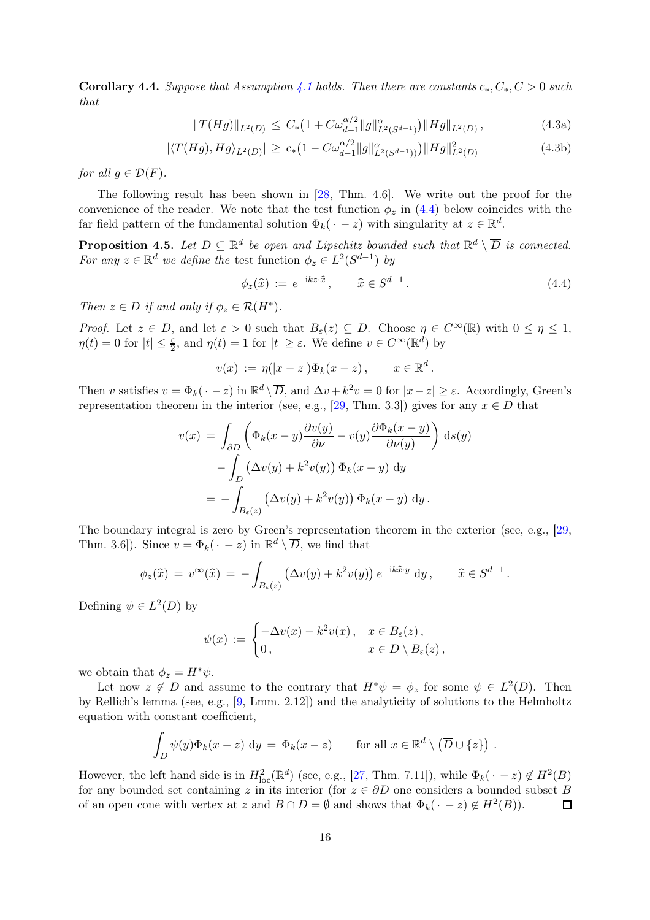<span id="page-15-3"></span>**Corollary 4.4.** Suppose that Assumption [4.1](#page-12-1) holds. Then there are constants  $c_*, C_*, C > 0$  such that

$$
||T(Hg)||_{L^{2}(D)} \leq C_{*}\left(1 + C\omega_{d-1}^{\alpha/2}||g||_{L^{2}(S^{d-1})}^{\alpha}\right) ||Hg||_{L^{2}(D)}, \tag{4.3a}
$$

$$
|\langle T(Hg), Hg \rangle_{L^2(D)}| \ge c_* \left(1 - C\omega_{d-1}^{\alpha/2} \|g\|_{L^2(S^{d-1})}^{\alpha}\right) \|Hg\|_{L^2(D)}^2 \tag{4.3b}
$$

for all  $g \in \mathcal{D}(F)$ .

The following result has been shown in [\[28,](#page-25-3) Thm. 4.6]. We write out the proof for the convenience of the reader. We note that the test function  $\phi_z$  in [\(4.4\)](#page-15-0) below coincides with the far field pattern of the fundamental solution  $\Phi_k(\cdot - z)$  with singularity at  $z \in \mathbb{R}^d$ .

<span id="page-15-2"></span>**Proposition 4.5.** Let  $D \subseteq \mathbb{R}^d$  be open and Lipschitz bounded such that  $\mathbb{R}^d \setminus \overline{D}$  is connected. For any  $z \in \mathbb{R}^d$  we define the test function  $\phi_z \in L^2(S^{d-1})$  by

<span id="page-15-1"></span><span id="page-15-0"></span>
$$
\phi_z(\widehat{x}) := e^{-ikz \cdot \widehat{x}}, \qquad \widehat{x} \in S^{d-1}.
$$
\n(4.4)

Then  $z \in D$  if and only if  $\phi_z \in \mathcal{R}(H^*)$ .

*Proof.* Let  $z \in D$ , and let  $\varepsilon > 0$  such that  $B_{\varepsilon}(z) \subseteq D$ . Choose  $\eta \in C^{\infty}(\mathbb{R})$  with  $0 \leq \eta \leq 1$ ,  $\eta(t) = 0$  for  $|t| \leq \frac{\varepsilon}{2}$ , and  $\eta(t) = 1$  for  $|t| \geq \varepsilon$ . We define  $v \in C^{\infty}(\mathbb{R}^d)$  by

$$
v(x) := \eta(|x-z|)\Phi_k(x-z), \qquad x \in \mathbb{R}^d.
$$

Then v satisfies  $v = \Phi_k(\cdot - z)$  in  $\mathbb{R}^d \setminus \overline{D}$ , and  $\Delta v + k^2 v = 0$  for  $|x - z| \ge \varepsilon$ . Accordingly, Green's representation theorem in the interior (see, e.g., [\[29,](#page-25-21) Thm. 3.3]) gives for any  $x \in D$  that

$$
v(x) = \int_{\partial D} \left( \Phi_k(x - y) \frac{\partial v(y)}{\partial \nu} - v(y) \frac{\partial \Phi_k(x - y)}{\partial \nu(y)} \right) ds(y)
$$

$$
- \int_D \left( \Delta v(y) + k^2 v(y) \right) \Phi_k(x - y) dy
$$

$$
= - \int_{B_{\varepsilon}(z)} \left( \Delta v(y) + k^2 v(y) \right) \Phi_k(x - y) dy.
$$

The boundary integral is zero by Green's representation theorem in the exterior (see, e.g., [\[29,](#page-25-21) Thm. 3.6]). Since  $v = \Phi_k(\cdot - z)$  in  $\mathbb{R}^d \setminus \overline{D}$ , we find that

$$
\phi_z(\widehat{x}) = v^{\infty}(\widehat{x}) = -\int_{B_{\varepsilon}(z)} \left(\Delta v(y) + k^2 v(y)\right) e^{-ik\widehat{x}\cdot y} dy, \quad \widehat{x} \in S^{d-1}.
$$

Defining  $\psi \in L^2(D)$  by

$$
\psi(x) := \begin{cases}\n-\Delta v(x) - k^2 v(x), & x \in B_{\varepsilon}(z), \\
0, & x \in D \setminus B_{\varepsilon}(z),\n\end{cases}
$$

we obtain that  $\phi_z = H^* \psi$ .

Let now  $z \notin D$  and assume to the contrary that  $H^*\psi = \phi_z$  for some  $\psi \in L^2(D)$ . Then by Rellich's lemma (see, e.g., [\[9,](#page-24-0) Lmm. 2.12]) and the analyticity of solutions to the Helmholtz equation with constant coefficient,

$$
\int_D \psi(y)\Phi_k(x-z) \, dy = \Phi_k(x-z) \quad \text{for all } x \in \mathbb{R}^d \setminus (\overline{D} \cup \{z\})
$$

.

However, the left hand side is in  $H_{\text{loc}}^2(\mathbb{R}^d)$  (see, e.g., [\[27,](#page-25-19) Thm. 7.11]), while  $\Phi_k(\cdot - z) \notin H^2(B)$ for any bounded set containing z in its interior (for  $z \in \partial D$  one considers a bounded subset B of an open cone with vertex at z and  $B \cap D = \emptyset$  and shows that  $\Phi_k(\cdot - z) \notin H^2(B)$ ). of an open cone with vertex at z and  $B \cap D = \emptyset$  and shows that  $\Phi_k(\cdot - z) \notin H^2(B)$ .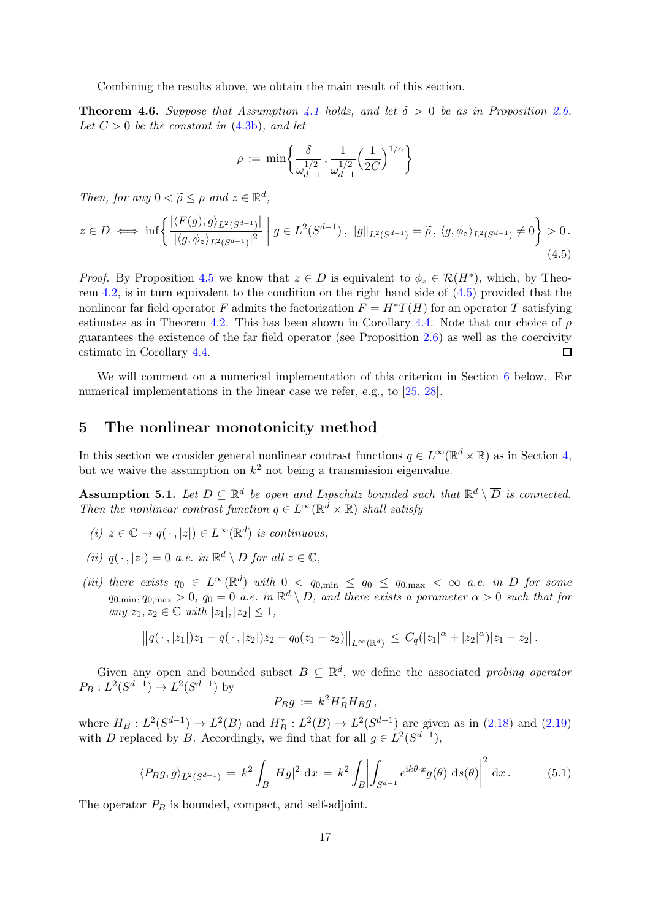Combining the results above, we obtain the main result of this section.

<span id="page-16-4"></span>**Theorem 4.6.** Suppose that Assumption [4.1](#page-12-1) holds, and let  $\delta > 0$  be as in Proposition [2.6.](#page-5-1) Let  $C > 0$  be the constant in  $(4.3b)$ , and let

$$
\rho := \min \left\{ \frac{\delta}{\omega_{d-1}^{1/2}}, \frac{1}{\omega_{d-1}^{1/2}} \left( \frac{1}{2C} \right)^{1/\alpha} \right\}
$$

Then, for any  $0 < \widetilde{\rho} \le \rho$  and  $z \in \mathbb{R}^d$ ,

<span id="page-16-1"></span>
$$
z \in D \iff \inf \left\{ \frac{|\langle F(g), g \rangle_{L^2(S^{d-1})}|}{|\langle g, \phi_z \rangle_{L^2(S^{d-1})}|^2} \; \middle| \; g \in L^2(S^{d-1}), \, \|g\|_{L^2(S^{d-1})} = \widetilde{\rho}, \, \langle g, \phi_z \rangle_{L^2(S^{d-1})} \neq 0 \right\} > 0. \tag{4.5}
$$

*Proof.* By Proposition [4.5](#page-15-2) we know that  $z \in D$  is equivalent to  $\phi_z \in \mathcal{R}(H^*)$ , which, by Theorem [4.2,](#page-13-1) is in turn equivalent to the condition on the right hand side of [\(4.5\)](#page-16-1) provided that the nonlinear far field operator F admits the factorization  $F = H^*T(H)$  for an operator T satisfying estimates as in Theorem [4.2.](#page-13-1) This has been shown in Corollary [4.4.](#page-15-3) Note that our choice of  $\rho$ guarantees the existence of the far field operator (see Proposition [2.6\)](#page-5-1) as well as the coercivity estimate in Corollary [4.4.](#page-15-3) П

We will comment on a numerical implementation of this criterion in Section [6](#page-19-0) below. For numerical implementations in the linear case we refer, e.g., to [\[25,](#page-25-17) [28\]](#page-25-3).

#### <span id="page-16-0"></span>5 The nonlinear monotonicity method

In this section we consider general nonlinear contrast functions  $q \in L^{\infty}(\mathbb{R}^d \times \mathbb{R})$  as in Section [4,](#page-12-0) but we waive the assumption on  $k^2$  not being a transmission eigenvalue.

<span id="page-16-2"></span>Assumption 5.1. Let  $D \subseteq \mathbb{R}^d$  be open and Lipschitz bounded such that  $\mathbb{R}^d \setminus \overline{D}$  is connected. Then the nonlinear contrast function  $q \in L^{\infty}(\mathbb{R}^d \times \mathbb{R})$  shall satisfy

- (i)  $z \in \mathbb{C} \mapsto q(\cdot, |z|) \in L^{\infty}(\mathbb{R}^d)$  is continuous,
- (ii)  $q(\cdot, |z|) = 0$  a.e. in  $\mathbb{R}^d \setminus D$  for all  $z \in \mathbb{C}$ ,
- (iii) there exists  $q_0 \in L^{\infty}(\mathbb{R}^d)$  with  $0 \le q_{0,\text{min}} \le q_0 \le q_{0,\text{max}} < \infty$  a.e. in D for some  $q_{0,\min}, q_{0,\max} > 0$ ,  $q_0 = 0$  a.e. in  $\mathbb{R}^d \setminus D$ , and there exists a parameter  $\alpha > 0$  such that for any  $z_1, z_2 \in \mathbb{C}$  with  $|z_1|, |z_2| \leq 1$ ,

$$
||q(\,\cdot\,,|z_1|)z_1-q(\,\cdot\,,|z_2|)z_2-q_0(z_1-z_2)||_{L^{\infty}(\mathbb{R}^d)} \leq C_q(|z_1|^{\alpha}+|z_2|^{\alpha})|z_1-z_2|.
$$

Given any open and bounded subset  $B \subseteq \mathbb{R}^d$ , we define the associated probing operator  $P_B: L^2(S^{d-1}) \to L^2(S^{d-1})$  by

$$
P_B g := k^2 H_B^* H_B g,
$$

where  $H_B: L^2(S^{d-1}) \to L^2(B)$  and  $H_B^*: L^2(B) \to L^2(S^{d-1})$  are given as in [\(2.18\)](#page-7-1) and [\(2.19\)](#page-7-2) with D replaced by B. Accordingly, we find that for all  $g \in L^2(S^{d-1})$ ,

<span id="page-16-3"></span>
$$
\langle P_B g, g \rangle_{L^2(S^{d-1})} = k^2 \int_B |Hg|^2 \, \mathrm{d}x = k^2 \int_B \left| \int_{S^{d-1}} e^{ik\theta \cdot x} g(\theta) \, \mathrm{d}s(\theta) \right|^2 \, \mathrm{d}x. \tag{5.1}
$$

The operator  $P_B$  is bounded, compact, and self-adjoint.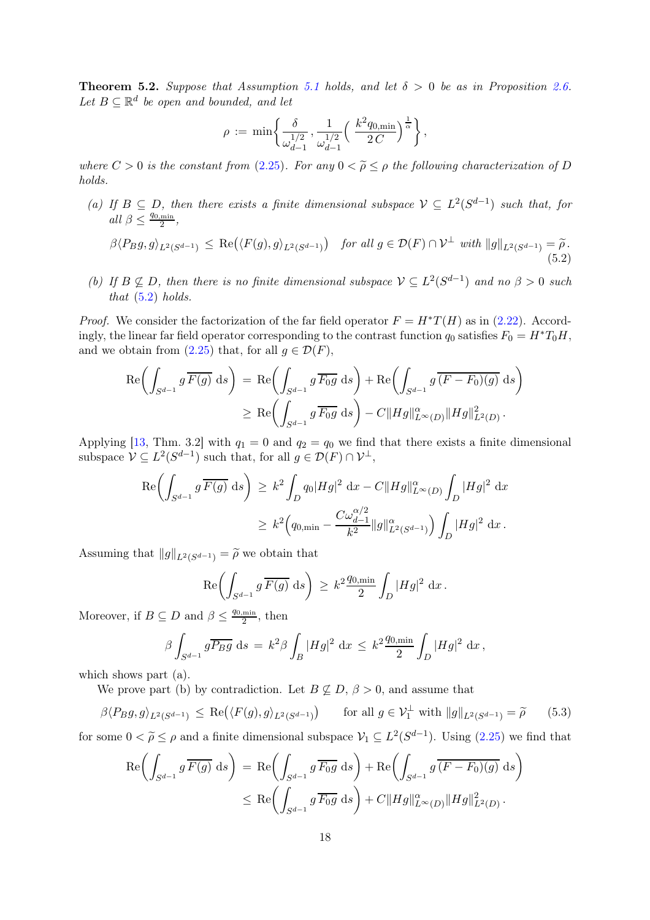<span id="page-17-2"></span>**Theorem 5.2.** Suppose that Assumption [5.1](#page-16-2) holds, and let  $\delta > 0$  be as in Proposition [2.6.](#page-5-1) Let  $B \subseteq \mathbb{R}^d$  be open and bounded, and let

$$
\rho := \min \left\{ \frac{\delta}{\omega_{d-1}^{1/2}}, \frac{1}{\omega_{d-1}^{1/2}} \left( \frac{k^2 q_{0,\min}}{2 C} \right)^{\frac{1}{\alpha}} \right\},\,
$$

where  $C > 0$  is the constant from [\(2.25\)](#page-8-7). For any  $0 < \widetilde{\rho} \le \rho$  the following characterization of D holds.

(a) If  $B \subseteq D$ , then there exists a finite dimensional subspace  $V \subseteq L^2(S^{d-1})$  such that, for all  $\beta \leq \frac{q_{0,\min}}{2}$  $\frac{\min}{2}$ ,

<span id="page-17-0"></span>
$$
\beta \langle P_B g, g \rangle_{L^2(S^{d-1})} \le \text{Re}\big(\langle F(g), g \rangle_{L^2(S^{d-1})}\big) \quad \text{for all } g \in \mathcal{D}(F) \cap \mathcal{V}^{\perp} \text{ with } \|g\|_{L^2(S^{d-1})} = \widetilde{\rho}.
$$
\n(5.2)

(b) If  $B \not\subseteq D$ , then there is no finite dimensional subspace  $V \subseteq L^2(S^{d-1})$  and no  $\beta > 0$  such that  $(5.2)$  holds.

*Proof.* We consider the factorization of the far field operator  $F = H^*T(H)$  as in [\(2.22\)](#page-8-1). Accordingly, the linear far field operator corresponding to the contrast function  $q_0$  satisfies  $F_0 = H^*T_0H$ , and we obtain from [\(2.25\)](#page-8-7) that, for all  $g \in \mathcal{D}(F)$ ,

$$
\operatorname{Re}\left(\int_{S^{d-1}} g \,\overline{F(g)} \, \mathrm{d}s\right) = \operatorname{Re}\left(\int_{S^{d-1}} g \,\overline{F_0g} \, \mathrm{d}s\right) + \operatorname{Re}\left(\int_{S^{d-1}} g \,\overline{(F - F_0)(g)} \, \mathrm{d}s\right)
$$

$$
\geq \operatorname{Re}\left(\int_{S^{d-1}} g \,\overline{F_0g} \, \mathrm{d}s\right) - C \|Hg\|_{L^{\infty}(D)}^{\alpha} \|Hg\|_{L^2(D)}^2.
$$

Applying [\[13,](#page-24-16) Thm. 3.2] with  $q_1 = 0$  and  $q_2 = q_0$  we find that there exists a finite dimensional subspace  $\mathcal{V} \subseteq L^2(S^{d-1})$  such that, for all  $g \in \mathcal{D}(F) \cap \mathcal{V}^{\perp}$ ,

$$
\begin{aligned} \operatorname{Re} \biggl( \int_{S^{d-1}} g \, \overline{F(g)} \, \, \mathrm{d} s \biggr) &\geq k^2 \int_{D} q_0 |Hg|^2 \, \, \mathrm{d} x - C \|Hg\|_{L^\infty(D)}^\alpha \int_{D} |Hg|^2 \, \, \mathrm{d} x \\ &\geq k^2 \Big( q_{0,\min} - \frac{C \omega_{d-1}^{\alpha/2}}{k^2} \|g\|_{L^2(S^{d-1})}^\alpha \Big) \int_{D} |Hg|^2 \, \, \mathrm{d} x \, . \end{aligned}
$$

Assuming that  $||g||_{L^2(S^{d-1})} = \widetilde{\rho}$  we obtain that

$$
\mathrm{Re}\biggl(\int_{S^{d-1}}g\,\overline{F(g)}\;\mathrm{d} s\biggr)\,\geq\,k^2\frac{q_{0,\min}}{2}\int_D|Hg|^2\;\mathrm{d} x\,.
$$

Moreover, if  $B \subseteq D$  and  $\beta \leq \frac{q_{0,\min}}{2}$  $\frac{\min}{2}$ , then

$$
\beta \int_{S^{d-1}} g \overline{P_B g} \, ds = k^2 \beta \int_B |Hg|^2 \, dx \leq k^2 \frac{q_{0,\min}}{2} \int_D |Hg|^2 \, dx \, ,
$$

which shows part (a).

We prove part (b) by contradiction. Let  $B \nsubseteq D$ ,  $\beta > 0$ , and assume that

<span id="page-17-1"></span>
$$
\beta \langle P_B g, g \rangle_{L^2(S^{d-1})} \le \text{Re}\big(\langle F(g), g \rangle_{L^2(S^{d-1})}\big) \qquad \text{for all } g \in \mathcal{V}_1^{\perp} \text{ with } \|g\|_{L^2(S^{d-1})} = \widetilde{\rho} \tag{5.3}
$$

for some  $0 < \tilde{\rho} \le \rho$  and a finite dimensional subspace  $\mathcal{V}_1 \subseteq L^2(S^{d-1})$ . Using  $(2.25)$  we find that

$$
\operatorname{Re}\left(\int_{S^{d-1}} g \overline{F(g)} ds\right) = \operatorname{Re}\left(\int_{S^{d-1}} g \overline{F_0 g} ds\right) + \operatorname{Re}\left(\int_{S^{d-1}} g \overline{(F - F_0)(g)} ds\right)
$$
  

$$
\leq \operatorname{Re}\left(\int_{S^{d-1}} g \overline{F_0 g} ds\right) + C \|Hg\|_{L^{\infty}(D)}^{\alpha} \|Hg\|_{L^2(D)}^2.
$$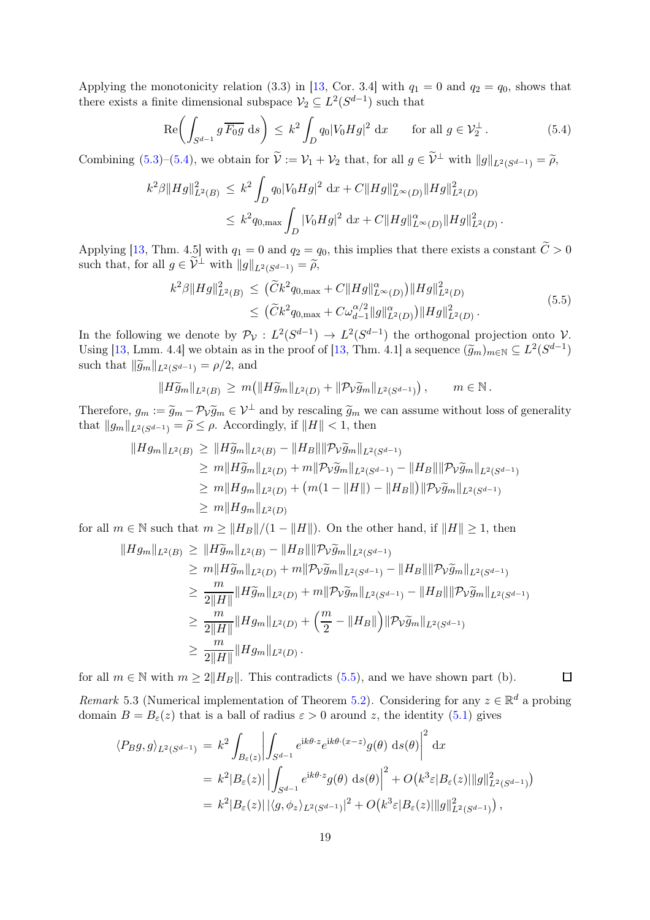Applying the monotonicity relation (3.3) in [\[13,](#page-24-16) Cor. 3.4] with  $q_1 = 0$  and  $q_2 = q_0$ , shows that there exists a finite dimensional subspace  $\mathcal{V}_2 \subseteq L^2(S^{d-1})$  such that

<span id="page-18-0"></span>
$$
\operatorname{Re}\left(\int_{S^{d-1}} g \,\overline{F_0 g} \, \mathrm{d}s\right) \le k^2 \int_D q_0 |V_0 H g|^2 \, \mathrm{d}x \qquad \text{for all } g \in \mathcal{V}_2^{\perp} \,. \tag{5.4}
$$

Combining [\(5.3\)](#page-17-1)–[\(5.4\)](#page-18-0), we obtain for  $\tilde{\mathcal{V}} := \mathcal{V}_1 + \mathcal{V}_2$  that, for all  $g \in \tilde{\mathcal{V}}^{\perp}$  with  $||g||_{L^2(S^{d-1})} = \tilde{\rho}$ ,

$$
\begin{array}{l} k^2\beta\|Hg\|_{L^2(B)}^2\,\leq\,k^2\displaystyle\int_D q_0|V_0Hg|^2\;\mathrm{d} x+C\|Hg\|_{L^\infty(D)}^{\alpha}\|Hg\|_{L^2(D)}^2\\ \leq\,k^2q_{0,\max}\displaystyle\int_D |V_0Hg|^2\;\mathrm{d} x+C\|Hg\|_{L^\infty(D)}^{\alpha}\|Hg\|_{L^2(D)}^2\,.\end{array}
$$

Applying [\[13,](#page-24-16) Thm. 4.5] with  $q_1 = 0$  and  $q_2 = q_0$ , this implies that there exists a constant  $C > 0$ such that, for all  $g \in \mathcal{V}^{\perp}$  with  $||g||_{L^2(S^{d-1})} = \widetilde{\rho}$ ,

$$
k^2 \beta ||Hg||_{L^2(B)}^2 \leq (\widetilde{C}k^2 q_{0,\max} + C ||Hg||_{L^{\infty}(D)}^{\alpha}) ||Hg||_{L^2(D)}^2
$$
  
 
$$
\leq (\widetilde{C}k^2 q_{0,\max} + C\omega_{d-1}^{\alpha/2} ||g||_{L^2(D)}^{\alpha}) ||Hg||_{L^2(D)}^2.
$$
 (5.5)

<span id="page-18-1"></span>In the following we denote by  $\mathcal{P}_{\mathcal{V}}: L^2(S^{d-1}) \to L^2(S^{d-1})$  the orthogonal projection onto  $\mathcal{V}$ . Using [\[13,](#page-24-16) Lmm. 4.4] we obtain as in the proof of [13, Thm. 4.1] a sequence  $(\widetilde{g}_m)_{m\in\mathbb{N}} \subseteq L^2(S^{d-1})$ such that  $\|\widetilde{g}_m\|_{L^2(S^{d-1})} = \rho/2$ , and

$$
||H\widetilde{g}_m||_{L^2(B)} \ge m(||H\widetilde{g}_m||_{L^2(D)} + ||\mathcal{P}_V \widetilde{g}_m||_{L^2(S^{d-1})}), \qquad m \in \mathbb{N}.
$$

Therefore,  $g_m := \tilde{g}_m - \mathcal{P}_V \tilde{g}_m \in \mathcal{V}^\perp$  and by rescaling  $\tilde{g}_m$  we can assume without loss of generality that  $||g_m||_{L^2(S^{d-1})} = \tilde{\rho} \leq \rho$ . Accordingly, if  $||H|| < 1$ , then

$$
||Hg_m||_{L^2(B)} \ge ||H\widetilde{g}_m||_{L^2(B)} - ||H_B||||\mathcal{P}_V\widetilde{g}_m||_{L^2(S^{d-1})}
$$
  
\n
$$
\ge m||H\widetilde{g}_m||_{L^2(D)} + m||\mathcal{P}_V\widetilde{g}_m||_{L^2(S^{d-1})} - ||H_B||||\mathcal{P}_V\widetilde{g}_m||_{L^2(S^{d-1})}
$$
  
\n
$$
\ge m||Hg_m||_{L^2(D)} + (m(1 - ||H||) - ||H_B||)||\mathcal{P}_V\widetilde{g}_m||_{L^2(S^{d-1})}
$$
  
\n
$$
\ge m||Hg_m||_{L^2(D)}
$$

for all  $m \in \mathbb{N}$  such that  $m \geq ||H_B||/(1 - ||H||)$ . On the other hand, if  $||H|| \geq 1$ , then

$$
||Hg_m||_{L^2(B)} \ge ||H\widetilde{g}_m||_{L^2(B)} - ||H_B||||\mathcal{P}_V\widetilde{g}_m||_{L^2(S^{d-1})}
$$
  
\n
$$
\ge m||H\widetilde{g}_m||_{L^2(D)} + m||\mathcal{P}_V\widetilde{g}_m||_{L^2(S^{d-1})} - ||H_B||||\mathcal{P}_V\widetilde{g}_m||_{L^2(S^{d-1})}
$$
  
\n
$$
\ge \frac{m}{2||H||}||H\widetilde{g}_m||_{L^2(D)} + m||\mathcal{P}_V\widetilde{g}_m||_{L^2(S^{d-1})} - ||H_B||||\mathcal{P}_V\widetilde{g}_m||_{L^2(S^{d-1})}
$$
  
\n
$$
\ge \frac{m}{2||H||}||Hg_m||_{L^2(D)} + \left(\frac{m}{2} - ||H_B||\right)||\mathcal{P}_V\widetilde{g}_m||_{L^2(S^{d-1})}
$$
  
\n
$$
\ge \frac{m}{2||H||}||Hg_m||_{L^2(D)}.
$$

for all  $m \in \mathbb{N}$  with  $m \geq 2||H_B||$ . This contradicts [\(5.5\)](#page-18-1), and we have shown part (b).

<span id="page-18-2"></span>Remark 5.3 (Numerical implementation of Theorem [5.2\)](#page-17-2). Considering for any  $z \in \mathbb{R}^d$  a probing domain  $B = B_{\varepsilon}(z)$  that is a ball of radius  $\varepsilon > 0$  around z, the identity [\(5.1\)](#page-16-3) gives

 $\Box$ 

$$
\langle P_B g, g \rangle_{L^2(S^{d-1})} = k^2 \int_{B_{\varepsilon}(z)} \left| \int_{S^{d-1}} e^{ik\theta \cdot z} e^{ik\theta \cdot (x-z)} g(\theta) \, ds(\theta) \right|^2 dx
$$
  
=  $k^2 |B_{\varepsilon}(z)| \left| \int_{S^{d-1}} e^{ik\theta \cdot z} g(\theta) \, ds(\theta) \right|^2 + O\left(k^3 \varepsilon |B_{\varepsilon}(z)| \|g\|_{L^2(S^{d-1})}^2\right)$   
=  $k^2 |B_{\varepsilon}(z)| |\langle g, \phi_z \rangle_{L^2(S^{d-1})}|^2 + O\left(k^3 \varepsilon |B_{\varepsilon}(z)| \|g\|_{L^2(S^{d-1})}^2\right),$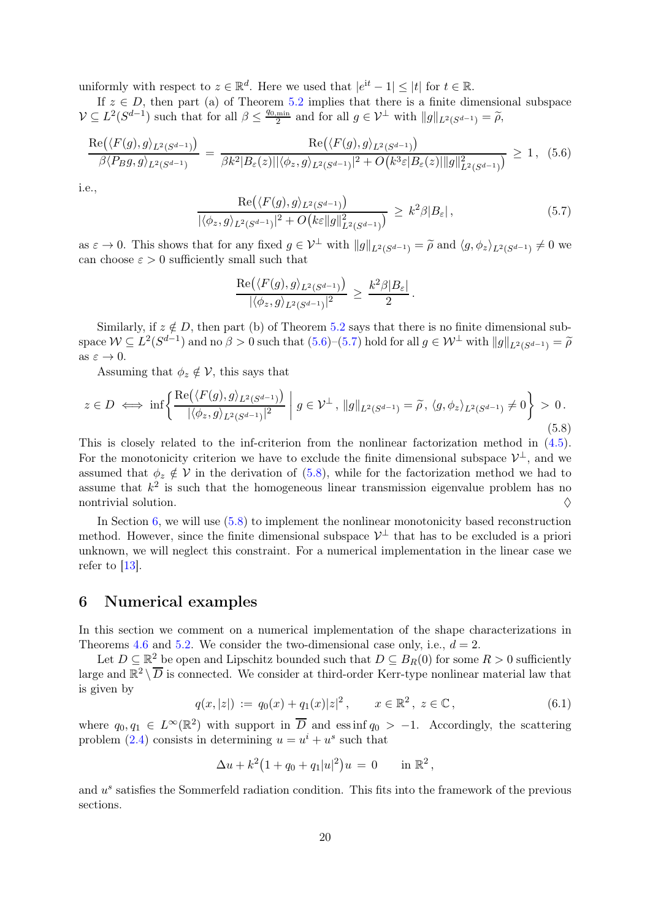uniformly with respect to  $z \in \mathbb{R}^d$ . Here we used that  $|e^{it} - 1| \leq |t|$  for  $t \in \mathbb{R}$ .

If  $z \in D$ , then part (a) of Theorem [5.2](#page-17-2) implies that there is a finite dimensional subspace  $\mathcal{V} \subseteq L^2(S^{d-1})$  such that for all  $\beta \leq \frac{q_{0,\min}}{2}$  $\frac{\min}{2}$  and for all  $g \in \mathcal{V}^{\perp}$  with  $||g||_{L^2(S^{d-1})} = \widetilde{\rho},$ 

<span id="page-19-1"></span>
$$
\frac{\text{Re}(\langle F(g), g \rangle_{L^2(S^{d-1})})}{\beta \langle P_B g, g \rangle_{L^2(S^{d-1})}} = \frac{\text{Re}(\langle F(g), g \rangle_{L^2(S^{d-1})})}{\beta k^2 |B_{\varepsilon}(z)| |\langle \phi_z, g \rangle_{L^2(S^{d-1})}|^2 + O\big(k^3 \varepsilon |B_{\varepsilon}(z)| \|g\|_{L^2(S^{d-1})}^2\big)} \ge 1, (5.6)
$$

i.e.,

<span id="page-19-2"></span>
$$
\frac{\text{Re}(\langle F(g), g \rangle_{L^2(S^{d-1})})}{|\langle \phi_z, g \rangle_{L^2(S^{d-1})}|^2 + O\big(k\varepsilon \|g\|_{L^2(S^{d-1})}^2\big)} \ge k^2 \beta |B_\varepsilon| \,, \tag{5.7}
$$

as  $\varepsilon \to 0$ . This shows that for any fixed  $g \in \mathcal{V}^{\perp}$  with  $||g||_{L^2(S^{d-1})} = \widetilde{\rho}$  and  $\langle g, \phi_z \rangle_{L^2(S^{d-1})} \neq 0$  we can choose  $\varepsilon > 0$  sufficiently small such that

$$
\frac{\operatorname{Re}(\langle F(g), g \rangle_{L^2(S^{d-1})})}{|\langle \phi_z, g \rangle_{L^2(S^{d-1})}|^2} \geq \frac{k^2 \beta |B_{\varepsilon}|}{2}.
$$

Similarly, if  $z \notin D$ , then part (b) of Theorem [5.2](#page-17-2) says that there is no finite dimensional subspace  $\mathcal{W} \subseteq L^2(S^{d-1})$  and no  $\beta > 0$  such that  $(5.6)$ – $(5.7)$  hold for all  $g \in \mathcal{W}^{\perp}$  with  $||g||_{L^2(S^{d-1})} = \widetilde{\rho}$ as  $\varepsilon \to 0$ .

Assuming that  $\phi_z \notin \mathcal{V}$ , this says that

<span id="page-19-3"></span>
$$
z \in D \iff \inf \left\{ \frac{\text{Re}\left(\langle F(g), g \rangle_{L^2(S^{d-1})}\right)}{|\langle \phi_z, g \rangle_{L^2(S^{d-1})}|^2} \; \middle| \; g \in \mathcal{V}^\perp \, , \, \|g\|_{L^2(S^{d-1})} = \widetilde{\rho} \, , \, \langle g, \phi_z \rangle_{L^2(S^{d-1})} \neq 0 \right\} \, > \, 0 \, .
$$
\n
$$
(5.8)
$$

This is closely related to the inf-criterion from the nonlinear factorization method in  $(4.5)$ . For the monotonicity criterion we have to exclude the finite dimensional subspace  $\mathcal{V}^{\perp}$ , and we assumed that  $\phi_z \notin V$  in the derivation of [\(5.8\)](#page-19-3), while for the factorization method we had to assume that  $k^2$  is such that the homogeneous linear transmission eigenvalue problem has no nontrivial solution.  $\Diamond$ 

In Section [6,](#page-19-0) we will use [\(5.8\)](#page-19-3) to implement the nonlinear monotonicity based reconstruction method. However, since the finite dimensional subspace  $\mathcal{V}^{\perp}$  that has to be excluded is a priori unknown, we will neglect this constraint. For a numerical implementation in the linear case we refer to  $[13]$ .

#### <span id="page-19-0"></span>6 Numerical examples

In this section we comment on a numerical implementation of the shape characterizations in Theorems [4.6](#page-16-4) and [5.2.](#page-17-2) We consider the two-dimensional case only, i.e.,  $d = 2$ .

Let  $D \subseteq \mathbb{R}^2$  be open and Lipschitz bounded such that  $D \subseteq B_R(0)$  for some  $R > 0$  sufficiently large and  $\mathbb{R}^2 \setminus \overline{D}$  is connected. We consider at third-order Kerr-type nonlinear material law that is given by

<span id="page-19-4"></span>
$$
q(x,|z|) := q_0(x) + q_1(x)|z|^2, \qquad x \in \mathbb{R}^2, \ z \in \mathbb{C}, \tag{6.1}
$$

,

where  $q_0, q_1 \in L^{\infty}(\mathbb{R}^2)$  with support in  $\overline{D}$  and essinf  $q_0 > -1$ . Accordingly, the scattering problem [\(2.4\)](#page-3-2) consists in determining  $u = u^i + u^s$  such that

$$
\Delta u + k^2 (1 + q_0 + q_1 |u|^2) u = 0 \quad \text{in } \mathbb{R}^2
$$

and  $u^s$  satisfies the Sommerfeld radiation condition. This fits into the framework of the previous sections.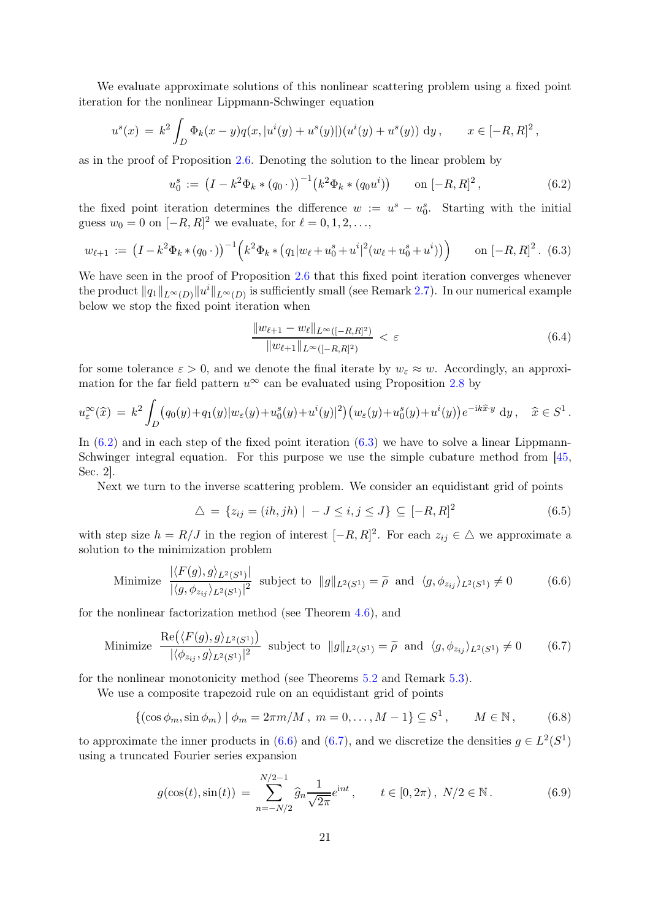We evaluate approximate solutions of this nonlinear scattering problem using a fixed point iteration for the nonlinear Lippmann-Schwinger equation

$$
u^{s}(x) = k^{2} \int_{D} \Phi_{k}(x - y) q(x, |u^{i}(y) + u^{s}(y)|)(u^{i}(y) + u^{s}(y)) dy, \qquad x \in [-R, R]^{2},
$$

as in the proof of Proposition [2.6.](#page-5-1) Denoting the solution to the linear problem by

<span id="page-20-0"></span>
$$
u_0^s := (I - k^2 \Phi_k * (q_0 \cdot))^{-1} (k^2 \Phi_k * (q_0 u^i)) \qquad \text{on } [-R, R]^2,
$$
 (6.2)

the fixed point iteration determines the difference  $w := u^s - u_0^s$ . Starting with the initial guess  $w_0 = 0$  on  $[-R, R]^2$  we evaluate, for  $\ell = 0, 1, 2, \ldots$ ,

<span id="page-20-1"></span>
$$
w_{\ell+1} := \left(I - k^2 \Phi_k * (q_0 \cdot)\right)^{-1} \left(k^2 \Phi_k * (q_1 | w_{\ell} + u_0^s + u^i|^2 (w_{\ell} + u_0^s + u^i))\right) \qquad \text{on } [-R, R]^2. \tag{6.3}
$$

We have seen in the proof of Proposition [2.6](#page-5-1) that this fixed point iteration converges whenever the product  $||q_1||_{L^{\infty}(D)} ||u^i||_{L^{\infty}(D)}$  is sufficiently small (see Remark [2.7\)](#page-5-12). In our numerical example below we stop the fixed point iteration when

<span id="page-20-7"></span>
$$
\frac{\|w_{\ell+1} - w_{\ell}\|_{L^{\infty}([-R,R]^2)}}{\|w_{\ell+1}\|_{L^{\infty}([-R,R]^2)}} < \varepsilon \tag{6.4}
$$

for some tolerance  $\varepsilon > 0$ , and we denote the final iterate by  $w_{\varepsilon} \approx w$ . Accordingly, an approximation for the far field pattern  $u^{\infty}$  can be evaluated using Proposition [2.8](#page-7-5) by

$$
u_{\varepsilon}^{\infty}(\widehat{x}) = k^2 \int_D \left( q_0(y) + q_1(y) |w_{\varepsilon}(y) + u_0^s(y) + u^i(y)|^2 \right) \left( w_{\varepsilon}(y) + u_0^s(y) + u^i(y) \right) e^{-ik\widehat{x}\cdot y} dy, \quad \widehat{x} \in S^1.
$$

In  $(6.2)$  and in each step of the fixed point iteration  $(6.3)$  we have to solve a linear Lippmann-Schwinger integral equation. For this purpose we use the simple cubature method from [\[45,](#page-26-2) Sec. 2].

Next we turn to the inverse scattering problem. We consider an equidistant grid of points

<span id="page-20-4"></span>
$$
\triangle = \{ z_{ij} = (ih, jh) \mid -J \le i, j \le J \} \subseteq [-R, R]^2
$$
\n(6.5)

with step size  $h = R/J$  in the region of interest  $[-R, R]^2$ . For each  $z_{ij} \in \Delta$  we approximate a solution to the minimization problem

<span id="page-20-2"></span>Minimize 
$$
\frac{|\langle F(g), g \rangle_{L^2(S^1)}|}{|\langle g, \phi_{z_{ij}} \rangle_{L^2(S^1)}|^2}
$$
 subject to  $||g||_{L^2(S^1)} = \tilde{\rho}$  and  $\langle g, \phi_{z_{ij}} \rangle_{L^2(S^1)} \neq 0$  (6.6)

for the nonlinear factorization method (see Theorem [4.6\)](#page-16-4), and

<span id="page-20-3"></span>Minimize 
$$
\frac{\text{Re}(\langle F(g), g \rangle_{L^2(S^1)})}{|\langle \phi_{z_{ij}}, g \rangle_{L^2(S^1)}|^2}
$$
 subject to  $||g||_{L^2(S^1)} = \tilde{\rho}$  and  $\langle g, \phi_{z_{ij}} \rangle_{L^2(S^1)} \neq 0$  (6.7)

for the nonlinear monotonicity method (see Theorems [5.2](#page-17-2) and Remark [5.3\)](#page-18-2).

We use a composite trapezoid rule on an equidistant grid of points

<span id="page-20-5"></span>
$$
\{(\cos \phi_m, \sin \phi_m) \mid \phi_m = 2\pi m/M, \ m = 0, \dots, M - 1\} \subseteq S^1, \qquad M \in \mathbb{N}, \tag{6.8}
$$

to approximate the inner products in [\(6.6\)](#page-20-2) and [\(6.7\)](#page-20-3), and we discretize the densities  $g \in L^2(S^1)$ using a truncated Fourier series expansion

<span id="page-20-6"></span>
$$
g(\cos(t), \sin(t)) = \sum_{n=-N/2}^{N/2-1} \hat{g}_n \frac{1}{\sqrt{2\pi}} e^{\text{i}nt}, \qquad t \in [0, 2\pi), \ N/2 \in \mathbb{N}. \tag{6.9}
$$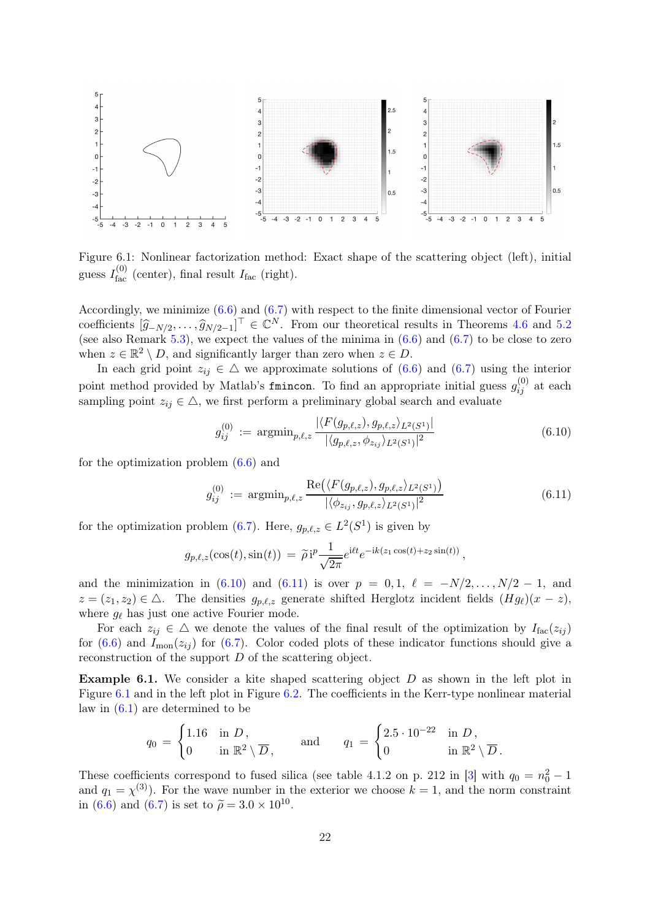<span id="page-21-2"></span>

Figure 6.1: Nonlinear factorization method: Exact shape of the scattering object (left), initial guess  $I_{\text{fac}}^{(0)}$  (center), final result  $I_{\text{fac}}$  (right).

Accordingly, we minimize [\(6.6\)](#page-20-2) and [\(6.7\)](#page-20-3) with respect to the finite dimensional vector of Fourier coefficients  $[\hat{g}_{-N/2}, \ldots, \hat{g}_{N/2-1}]^{\top} \in \mathbb{C}^{N}$ . From our theoretical results in Theorems [4.6](#page-16-4) and [5.2](#page-17-2) (see also Remark [5.3\)](#page-18-2), we expect the values of the minima in  $(6.6)$  and  $(6.7)$  to be close to zero when  $z \in \mathbb{R}^2 \setminus D$ , and significantly larger than zero when  $z \in D$ .

In each grid point  $z_{ij} \in \Delta$  we approximate solutions of [\(6.6\)](#page-20-2) and [\(6.7\)](#page-20-3) using the interior point method provided by Matlab's finincon. To find an appropriate initial guess  $g_{ij}^{(0)}$  at each sampling point  $z_{ij} \in \Delta$ , we first perform a preliminary global search and evaluate

<span id="page-21-0"></span>
$$
g_{ij}^{(0)} := \operatorname{argmin}_{p,\ell,z} \frac{|\langle F(g_{p,\ell,z}), g_{p,\ell,z} \rangle_{L^2(S^1)}|}{|\langle g_{p,\ell,z}, \phi_{z_{ij}} \rangle_{L^2(S^1)}|^2}
$$
(6.10)

for the optimization problem [\(6.6\)](#page-20-2) and

<span id="page-21-1"></span>
$$
g_{ij}^{(0)} := \operatorname{argmin}_{p,\ell,z} \frac{\operatorname{Re}(\langle F(g_{p,\ell,z}), g_{p,\ell,z} \rangle_{L^2(S^1)})}{|\langle \phi_{z_{ij}}, g_{p,\ell,z} \rangle_{L^2(S^1)}|^2}
$$
(6.11)

for the optimization problem [\(6.7\)](#page-20-3). Here,  $g_{p,\ell,z} \in L^2(S^1)$  is given by

$$
g_{p,\ell,z}(\cos(t),\sin(t)) = \tilde{\rho}i^p \frac{1}{\sqrt{2\pi}} e^{i\ell t} e^{-ik(z_1\cos(t)+z_2\sin(t))},
$$

and the minimization in [\(6.10\)](#page-21-0) and [\(6.11\)](#page-21-1) is over  $p = 0, 1, \ell = -N/2, ..., N/2 - 1$ , and  $z = (z_1, z_2) \in \triangle$ . The densities  $g_{p,\ell,z}$  generate shifted Herglotz incident fields  $(Hg_{\ell})(x - z)$ , where  $g_{\ell}$  has just one active Fourier mode.

For each  $z_{ij} \in \Delta$  we denote the values of the final result of the optimization by  $I_{\text{fac}}(z_{ij})$ for  $(6.6)$  and  $I_{\text{mon}}(z_{ii})$  for  $(6.7)$ . Color coded plots of these indicator functions should give a reconstruction of the support D of the scattering object.

**Example 6.1.** We consider a kite shaped scattering object  $D$  as shown in the left plot in Figure [6.1](#page-21-2) and in the left plot in Figure [6.2.](#page-22-0) The coefficients in the Kerr-type nonlinear material law in  $(6.1)$  are determined to be

$$
q_0 = \begin{cases} 1.16 & \text{in } D, \\ 0 & \text{in } \mathbb{R}^2 \setminus \overline{D}, \end{cases} \quad \text{and} \quad q_1 = \begin{cases} 2.5 \cdot 10^{-22} & \text{in } D, \\ 0 & \text{in } \mathbb{R}^2 \setminus \overline{D}. \end{cases}
$$

These coefficients correspond to fused silica (see table 4.1.2 on p. 212 in [\[3\]](#page-24-1) with  $q_0 = n_0^2 - 1$ and  $q_1 = \chi^{(3)}$ ). For the wave number in the exterior we choose  $k = 1$ , and the norm constraint in [\(6.6\)](#page-20-2) and [\(6.7\)](#page-20-3) is set to  $\tilde{\rho} = 3.0 \times 10^{10}$ .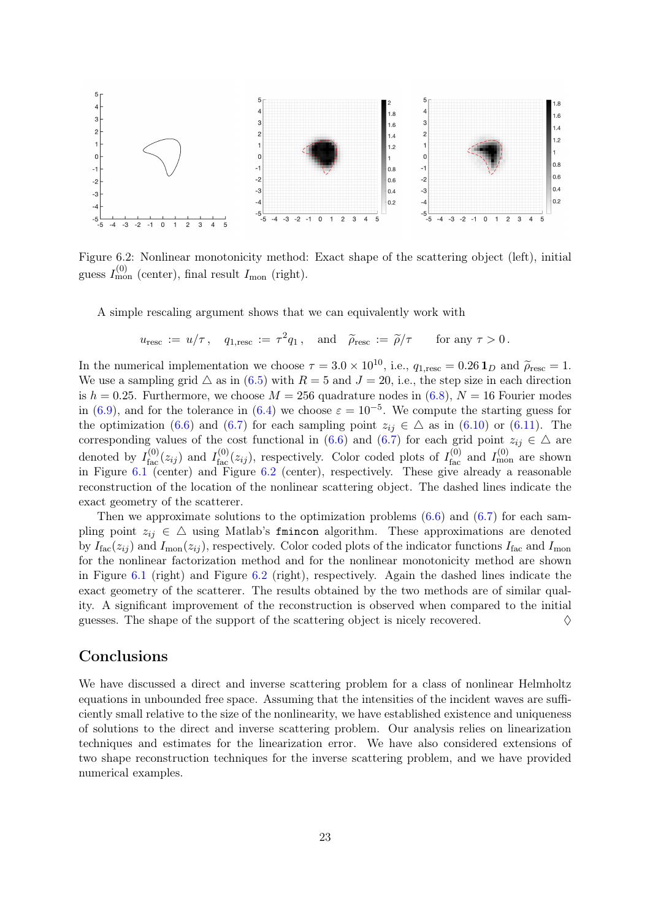<span id="page-22-0"></span>

Figure 6.2: Nonlinear monotonicity method: Exact shape of the scattering object (left), initial guess  $I_{\text{mon}}^{(0)}$  (center), final result  $I_{\text{mon}}$  (right).

A simple rescaling argument shows that we can equivalently work with

$$
u_{\text{resc}} := u/\tau
$$
,  $q_{1,\text{resc}} := \tau^2 q_1$ , and  $\tilde{\rho}_{\text{resc}} := \tilde{\rho}/\tau$  for any  $\tau > 0$ .

In the numerical implementation we choose  $\tau = 3.0 \times 10^{10}$ , i.e.,  $q_{1,\text{resc}} = 0.26 \mathbf{1}_D$  and  $\tilde{\rho}_{\text{resc}} = 1$ . We use a sampling grid  $\triangle$  as in [\(6.5\)](#page-20-4) with  $R = 5$  and  $J = 20$ , i.e., the step size in each direction is  $h = 0.25$ . Furthermore, we choose  $M = 256$  quadrature nodes in  $(6.8)$ ,  $N = 16$  Fourier modes in [\(6.9\)](#page-20-6), and for the tolerance in [\(6.4\)](#page-20-7) we choose  $\varepsilon = 10^{-5}$ . We compute the starting guess for the optimization [\(6.6\)](#page-20-2) and [\(6.7\)](#page-20-3) for each sampling point  $z_{ij} \in \Delta$  as in [\(6.10\)](#page-21-0) or [\(6.11\)](#page-21-1). The corresponding values of the cost functional in [\(6.6\)](#page-20-2) and [\(6.7\)](#page-20-3) for each grid point  $z_{ij} \in \Delta$  are denoted by  $I_{\text{fac}}^{(0)}(z_{ij})$  and  $I_{\text{fac}}^{(0)}(z_{ij})$ , respectively. Color coded plots of  $I_{\text{fac}}^{(0)}$  and  $I_{\text{mon}}^{(0)}$  are shown in Figure [6.1](#page-21-2) (center) and Figure [6.2](#page-22-0) (center), respectively. These give already a reasonable reconstruction of the location of the nonlinear scattering object. The dashed lines indicate the exact geometry of the scatterer.

Then we approximate solutions to the optimization problems  $(6.6)$  and  $(6.7)$  for each sampling point  $z_{ij} \in \Delta$  using Matlab's finincon algorithm. These approximations are denoted by  $I_{\text{fac}}(z_{ij})$  and  $I_{\text{mon}}(z_{ij})$ , respectively. Color coded plots of the indicator functions  $I_{\text{fac}}$  and  $I_{\text{mon}}$ for the nonlinear factorization method and for the nonlinear monotonicity method are shown in Figure [6.1](#page-21-2) (right) and Figure [6.2](#page-22-0) (right), respectively. Again the dashed lines indicate the exact geometry of the scatterer. The results obtained by the two methods are of similar quality. A significant improvement of the reconstruction is observed when compared to the initial guesses. The shape of the support of the scattering object is nicely recovered.  $\diamond$ 

#### Conclusions

We have discussed a direct and inverse scattering problem for a class of nonlinear Helmholtz equations in unbounded free space. Assuming that the intensities of the incident waves are sufficiently small relative to the size of the nonlinearity, we have established existence and uniqueness of solutions to the direct and inverse scattering problem. Our analysis relies on linearization techniques and estimates for the linearization error. We have also considered extensions of two shape reconstruction techniques for the inverse scattering problem, and we have provided numerical examples.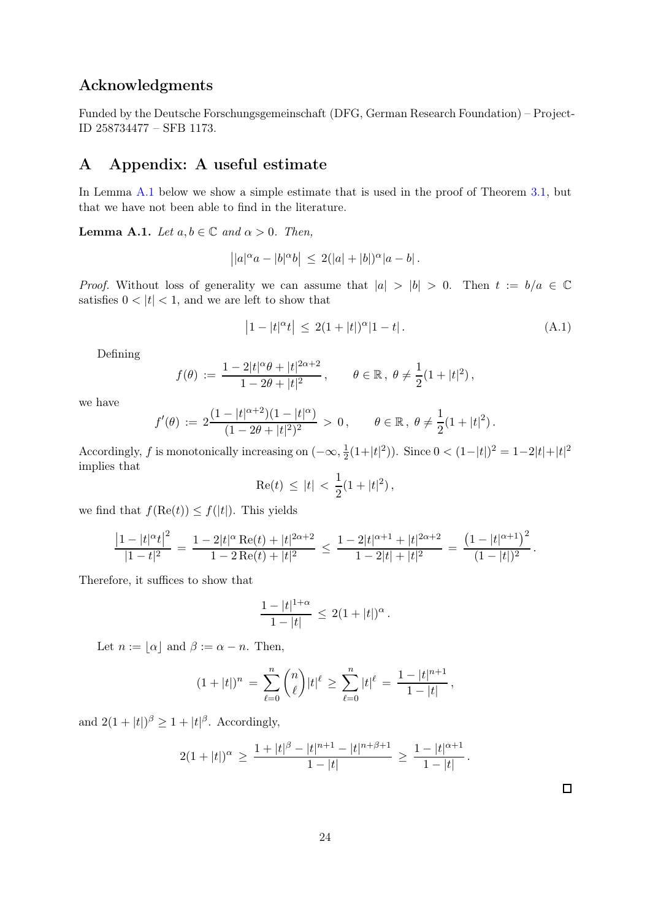#### Acknowledgments

Funded by the Deutsche Forschungsgemeinschaft (DFG, German Research Foundation) – Project-ID 258734477 – SFB 1173.

# A Appendix: A useful estimate

In Lemma [A.1](#page-23-0) below we show a simple estimate that is used in the proof of Theorem [3.1,](#page-8-8) but that we have not been able to find in the literature.

<span id="page-23-0"></span>**Lemma A.1.** Let  $a, b \in \mathbb{C}$  and  $\alpha > 0$ . Then,

$$
||a|^\alpha a - |b|^\alpha b| \leq 2(|a| + |b|)^\alpha |a - b|.
$$

*Proof.* Without loss of generality we can assume that  $|a| > |b| > 0$ . Then  $t := b/a \in \mathbb{C}$ satisfies  $0 < |t| < 1$ , and we are left to show that

$$
\left|1 - |t|^{\alpha} t\right| \le 2(1 + |t|)^{\alpha} |1 - t|.
$$
\n(A.1)

Defining

$$
f(\theta) := \frac{1 - 2|t|^{\alpha} \theta + |t|^{2\alpha + 2}}{1 - 2\theta + |t|^2}, \qquad \theta \in \mathbb{R}, \ \theta \neq \frac{1}{2}(1 + |t|^2),
$$

we have

$$
f'(\theta) := 2\frac{(1-|t|^{\alpha+2})(1-|t|^{\alpha})}{(1-2\theta+|t|^2)^2} > 0, \qquad \theta \in \mathbb{R}, \ \theta \neq \frac{1}{2}(1+|t|^2).
$$

Accordingly, f is monotonically increasing on  $(-\infty, \frac{1}{2})$  $\frac{1}{2}(1+|t|^2)$ ). Since  $0 < (1-|t|)^2 = 1-2|t|+|t|^2$ implies that

$$
\text{Re}(t) \, \leq \, |t| \, < \, \frac{1}{2} (1 + |t|^2) \, ,
$$

we find that  $f(\text{Re}(t)) \leq f(|t|)$ . This yields

$$
\frac{\left|1-|t|^\alpha t\right|^2}{|1-t|^2} = \frac{1-2|t|^\alpha \operatorname{Re}(t)+|t|^{2\alpha+2}}{1-2\operatorname{Re}(t)+|t|^2} \le \frac{1-2|t|^{\alpha+1}+|t|^{2\alpha+2}}{1-2|t|+|t|^2} = \frac{\left(1-|t|^{\alpha+1}\right)^2}{(1-|t|)^2}.
$$

Therefore, it suffices to show that

$$
\frac{1-|t|^{1+\alpha}}{1-|t|} \, \leq \, 2(1+|t|)^{\alpha} \, .
$$

Let  $n := |\alpha|$  and  $\beta := \alpha - n$ . Then,

$$
(1+|t|)^n = \sum_{\ell=0}^n \binom{n}{\ell} |t|^{\ell} \ge \sum_{\ell=0}^n |t|^{\ell} = \frac{1-|t|^{n+1}}{1-|t|},
$$

and  $2(1+|t|)^{\beta} \geq 1+|t|^{\beta}$ . Accordingly,

$$
2(1+|t|)^{\alpha} \geq \frac{1+|t|^{\beta}-|t|^{n+1}-|t|^{n+\beta+1}}{1-|t|} \geq \frac{1-|t|^{\alpha+1}}{1-|t|}.
$$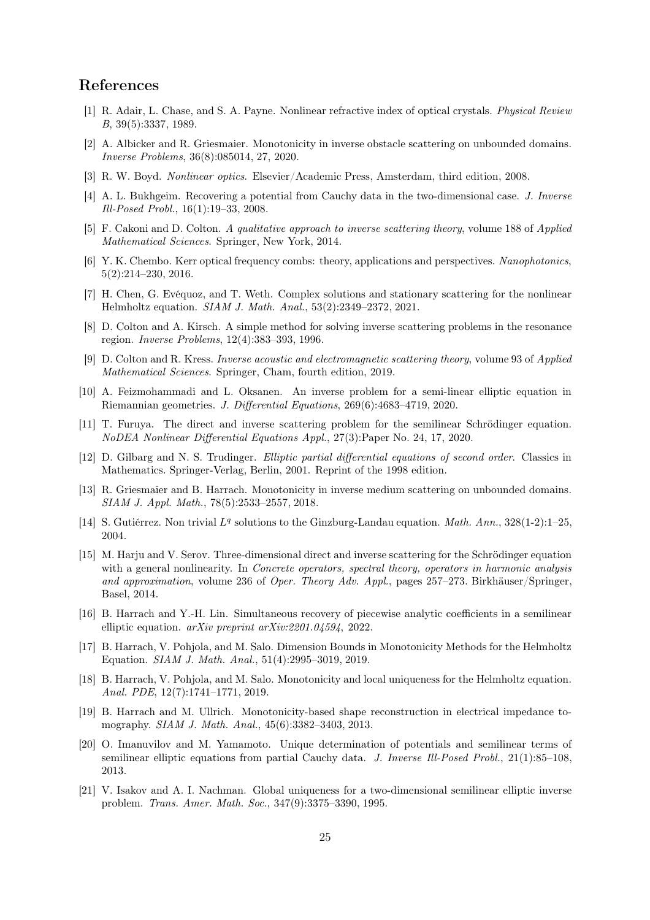#### <span id="page-24-2"></span>References

- <span id="page-24-15"></span>[1] R. Adair, L. Chase, and S. A. Payne. Nonlinear refractive index of optical crystals. Physical Review B, 39(5):3337, 1989.
- <span id="page-24-1"></span>[2] A. Albicker and R. Griesmaier. Monotonicity in inverse obstacle scattering on unbounded domains. Inverse Problems, 36(8):085014, 27, 2020.
- <span id="page-24-7"></span>[3] R. W. Boyd. Nonlinear optics. Elsevier/Academic Press, Amsterdam, third edition, 2008.
- [4] A. L. Bukhgeim. Recovering a potential from Cauchy data in the two-dimensional case. J. Inverse Ill-Posed Probl., 16(1):19–33, 2008.
- <span id="page-24-14"></span><span id="page-24-3"></span>[5] F. Cakoni and D. Colton. A qualitative approach to inverse scattering theory, volume 188 of Applied Mathematical Sciences. Springer, New York, 2014.
- [6] Y. K. Chembo. Kerr optical frequency combs: theory, applications and perspectives. Nanophotonics, 5(2):214–230, 2016.
- <span id="page-24-4"></span>[7] H. Chen, G. Evéquoz, and T. Weth. Complex solutions and stationary scattering for the nonlinear Helmholtz equation. SIAM J. Math. Anal., 53(2):2349–2372, 2021.
- <span id="page-24-13"></span><span id="page-24-0"></span>[8] D. Colton and A. Kirsch. A simple method for solving inverse scattering problems in the resonance region. Inverse Problems, 12(4):383–393, 1996.
- [9] D. Colton and R. Kress. Inverse acoustic and electromagnetic scattering theory, volume 93 of Applied Mathematical Sciences. Springer, Cham, fourth edition, 2019.
- <span id="page-24-8"></span>[10] A. Feizmohammadi and L. Oksanen. An inverse problem for a semi-linear elliptic equation in Riemannian geometries. J. Differential Equations, 269(6):4683–4719, 2020.
- <span id="page-24-6"></span>[11] T. Furuya. The direct and inverse scattering problem for the semilinear Schrödinger equation. NoDEA Nonlinear Differential Equations Appl., 27(3):Paper No. 24, 17, 2020.
- <span id="page-24-20"></span>[12] D. Gilbarg and N. S. Trudinger. Elliptic partial differential equations of second order. Classics in Mathematics. Springer-Verlag, Berlin, 2001. Reprint of the 1998 edition.
- <span id="page-24-16"></span>[13] R. Griesmaier and B. Harrach. Monotonicity in inverse medium scattering on unbounded domains. SIAM J. Appl. Math., 78(5):2533–2557, 2018.
- <span id="page-24-12"></span><span id="page-24-5"></span>[14] S. Gutiérrez. Non trivial  $L^q$  solutions to the Ginzburg-Landau equation. Math. Ann., 328(1-2):1-25, 2004.
- [15] M. Harju and V. Serov. Three-dimensional direct and inverse scattering for the Schrödinger equation with a general nonlinearity. In *Concrete operators*, *spectral theory*, *operators in harmonic analysis* and approximation, volume 236 of Oper. Theory Adv. Appl., pages 257–273. Birkhäuser/Springer, Basel, 2014.
- <span id="page-24-9"></span>[16] B. Harrach and Y.-H. Lin. Simultaneous recovery of piecewise analytic coefficients in a semilinear elliptic equation. arXiv preprint arXiv:2201.04594, 2022.
- <span id="page-24-17"></span>[17] B. Harrach, V. Pohjola, and M. Salo. Dimension Bounds in Monotonicity Methods for the Helmholtz Equation. SIAM J. Math. Anal., 51(4):2995–3019, 2019.
- <span id="page-24-18"></span>[18] B. Harrach, V. Pohjola, and M. Salo. Monotonicity and local uniqueness for the Helmholtz equation. Anal. PDE, 12(7):1741–1771, 2019.
- <span id="page-24-19"></span>[19] B. Harrach and M. Ullrich. Monotonicity-based shape reconstruction in electrical impedance tomography. SIAM J. Math. Anal., 45(6):3382–3403, 2013.
- <span id="page-24-10"></span>[20] O. Imanuvilov and M. Yamamoto. Unique determination of potentials and semilinear terms of semilinear elliptic equations from partial Cauchy data. J. Inverse Ill-Posed Probl., 21(1):85–108, 2013.
- <span id="page-24-11"></span>[21] V. Isakov and A. I. Nachman. Global uniqueness for a two-dimensional semilinear elliptic inverse problem. Trans. Amer. Math. Soc., 347(9):3375–3390, 1995.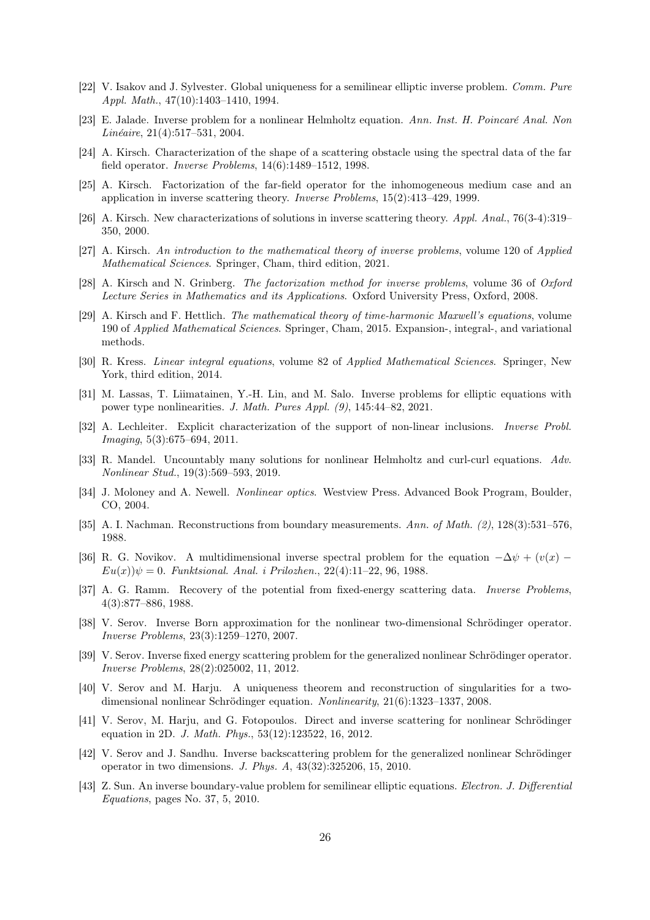- <span id="page-25-9"></span><span id="page-25-4"></span>[22] V. Isakov and J. Sylvester. Global uniqueness for a semilinear elliptic inverse problem. Comm. Pure Appl. Math., 47(10):1403–1410, 1994.
- [23] E. Jalade. Inverse problem for a nonlinear Helmholtz equation. Ann. Inst. H. Poincaré Anal. Non Linéaire, 21(4):517–531, 2004.
- <span id="page-25-16"></span>[24] A. Kirsch. Characterization of the shape of a scattering obstacle using the spectral data of the far field operator. Inverse Problems, 14(6):1489–1512, 1998.
- <span id="page-25-17"></span>[25] A. Kirsch. Factorization of the far-field operator for the inhomogeneous medium case and an application in inverse scattering theory. Inverse Problems, 15(2):413–429, 1999.
- <span id="page-25-19"></span><span id="page-25-18"></span>[26] A. Kirsch. New characterizations of solutions in inverse scattering theory. Appl. Anal., 76(3-4):319– 350, 2000.
- <span id="page-25-3"></span>[27] A. Kirsch. An introduction to the mathematical theory of inverse problems, volume 120 of Applied Mathematical Sciences. Springer, Cham, third edition, 2021.
- <span id="page-25-21"></span>[28] A. Kirsch and N. Grinberg. The factorization method for inverse problems, volume 36 of Oxford Lecture Series in Mathematics and its Applications. Oxford University Press, Oxford, 2008.
- [29] A. Kirsch and F. Hettlich. The mathematical theory of time-harmonic Maxwell's equations, volume 190 of Applied Mathematical Sciences. Springer, Cham, 2015. Expansion-, integral-, and variational methods.
- <span id="page-25-20"></span><span id="page-25-8"></span>[30] R. Kress. Linear integral equations, volume 82 of Applied Mathematical Sciences. Springer, New York, third edition, 2014.
- [31] M. Lassas, T. Liimatainen, Y.-H. Lin, and M. Salo. Inverse problems for elliptic equations with power type nonlinearities. J. Math. Pures Appl. (9), 145:44–82, 2021.
- <span id="page-25-2"></span>[32] A. Lechleiter. Explicit characterization of the support of non-linear inclusions. Inverse Probl. Imaging, 5(3):675–694, 2011.
- <span id="page-25-1"></span>[33] R. Mandel. Uncountably many solutions for nonlinear Helmholtz and curl-curl equations. Adv. Nonlinear Stud., 19(3):569–593, 2019.
- <span id="page-25-5"></span><span id="page-25-0"></span>[34] J. Moloney and A. Newell. Nonlinear optics. Westview Press. Advanced Book Program, Boulder, CO, 2004.
- <span id="page-25-6"></span>[35] A. I. Nachman. Reconstructions from boundary measurements. Ann. of Math. (2), 128(3):531–576, 1988.
- [36] R. G. Novikov. A multidimensional inverse spectral problem for the equation  $-\Delta\psi + (v(x) Eu(x))\psi = 0$ . Funktsional. Anal. i Prilozhen., 22(4):11–22, 96, 1988.
- <span id="page-25-7"></span>[37] A. G. Ramm. Recovery of the potential from fixed-energy scattering data. Inverse Problems, 4(3):877–886, 1988.
- <span id="page-25-11"></span>[38] V. Serov. Inverse Born approximation for the nonlinear two-dimensional Schrödinger operator. Inverse Problems, 23(3):1259–1270, 2007.
- <span id="page-25-12"></span>[39] V. Serov. Inverse fixed energy scattering problem for the generalized nonlinear Schrödinger operator. Inverse Problems, 28(2):025002, 11, 2012.
- <span id="page-25-13"></span>[40] V. Serov and M. Harju. A uniqueness theorem and reconstruction of singularities for a twodimensional nonlinear Schrödinger equation. Nonlinearity, 21(6):1323–1337, 2008.
- <span id="page-25-14"></span>[41] V. Serov, M. Harju, and G. Fotopoulos. Direct and inverse scattering for nonlinear Schrödinger equation in 2D. J. Math. Phys., 53(12):123522, 16, 2012.
- <span id="page-25-15"></span>[42] V. Serov and J. Sandhu. Inverse backscattering problem for the generalized nonlinear Schrödinger operator in two dimensions. J. Phys. A, 43(32):325206, 15, 2010.
- <span id="page-25-10"></span>[43] Z. Sun. An inverse boundary-value problem for semilinear elliptic equations. Electron. J. Differential Equations, pages No. 37, 5, 2010.